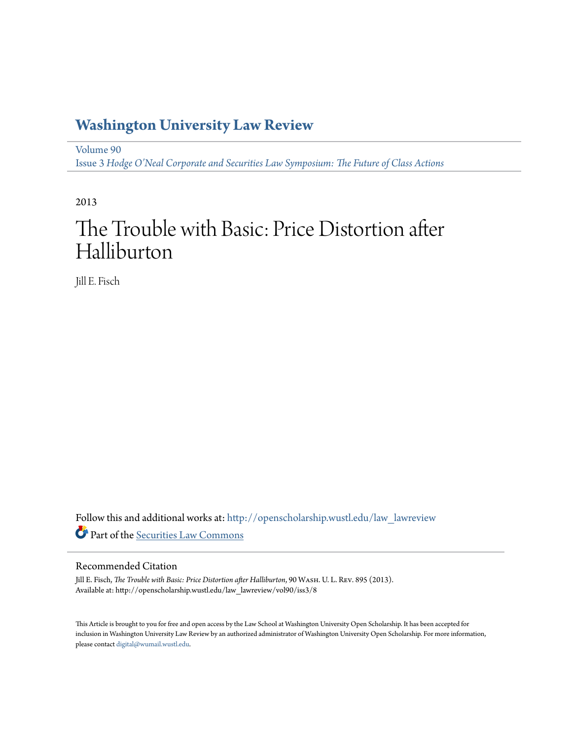## **[Washington University Law Review](http://openscholarship.wustl.edu/law_lawreview?utm_source=openscholarship.wustl.edu%2Flaw_lawreview%2Fvol90%2Fiss3%2F8&utm_medium=PDF&utm_campaign=PDFCoverPages)**

[Volume 90](http://openscholarship.wustl.edu/law_lawreview/vol90?utm_source=openscholarship.wustl.edu%2Flaw_lawreview%2Fvol90%2Fiss3%2F8&utm_medium=PDF&utm_campaign=PDFCoverPages) Issue 3 *[Hodge O'Neal Corporate and Securities Law Symposium: The Future of Class Actions](http://openscholarship.wustl.edu/law_lawreview/vol90/iss3?utm_source=openscholarship.wustl.edu%2Flaw_lawreview%2Fvol90%2Fiss3%2F8&utm_medium=PDF&utm_campaign=PDFCoverPages)*

2013

# The Trouble with Basic: Price Distortion after Halliburton

Jill E. Fisch

Follow this and additional works at: [http://openscholarship.wustl.edu/law\\_lawreview](http://openscholarship.wustl.edu/law_lawreview?utm_source=openscholarship.wustl.edu%2Flaw_lawreview%2Fvol90%2Fiss3%2F8&utm_medium=PDF&utm_campaign=PDFCoverPages) Part of the [Securities Law Commons](http://network.bepress.com/hgg/discipline/619?utm_source=openscholarship.wustl.edu%2Flaw_lawreview%2Fvol90%2Fiss3%2F8&utm_medium=PDF&utm_campaign=PDFCoverPages)

#### Recommended Citation

Jill E. Fisch, *The Trouble with Basic: Price Distortion after Halliburton*, 90 Wash. U. L. Rev. 895 (2013). Available at: http://openscholarship.wustl.edu/law\_lawreview/vol90/iss3/8

This Article is brought to you for free and open access by the Law School at Washington University Open Scholarship. It has been accepted for inclusion in Washington University Law Review by an authorized administrator of Washington University Open Scholarship. For more information, please contact [digital@wumail.wustl.edu.](mailto:digital@wumail.wustl.edu)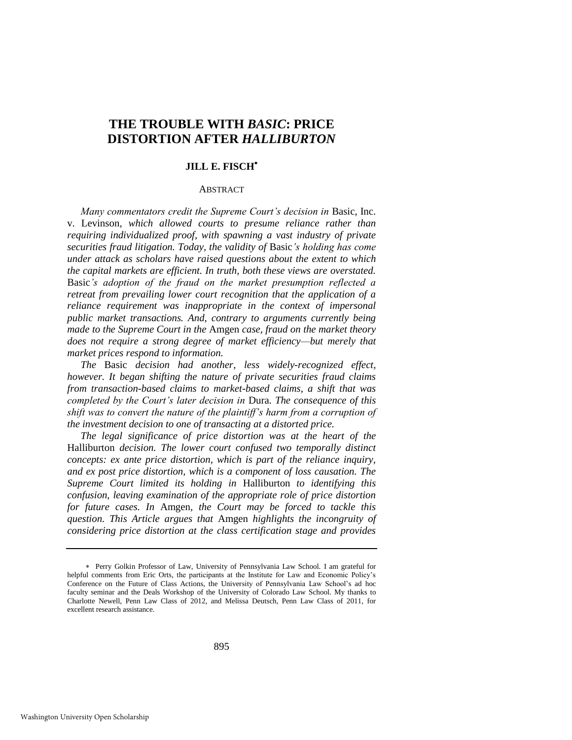### **THE TROUBLE WITH** *BASIC***: PRICE DISTORTION AFTER** *HALLIBURTON*

#### **JILL E. FISCH**

#### ABSTRACT

*Many commentators credit the Supreme Court's decision in Basic, Inc.* v. Levinson*, which allowed courts to presume reliance rather than requiring individualized proof, with spawning a vast industry of private securities fraud litigation. Today, the validity of* Basic*'s holding has come under attack as scholars have raised questions about the extent to which the capital markets are efficient. In truth, both these views are overstated.*  Basic*'s adoption of the fraud on the market presumption reflected a retreat from prevailing lower court recognition that the application of a reliance requirement was inappropriate in the context of impersonal public market transactions. And, contrary to arguments currently being made to the Supreme Court in the* Amgen *case, fraud on the market theory does not require a strong degree of market efficiency—but merely that market prices respond to information.* 

*The* Basic *decision had another, less widely-recognized effect, however. It began shifting the nature of private securities fraud claims from transaction-based claims to market-based claims, a shift that was completed by the Court's later decision in* Dura*. The consequence of this shift was to convert the nature of the plaintiff's harm from a corruption of the investment decision to one of transacting at a distorted price.* 

*The legal significance of price distortion was at the heart of the*  Halliburton *decision. The lower court confused two temporally distinct concepts: ex ante price distortion, which is part of the reliance inquiry, and ex post price distortion, which is a component of loss causation. The Supreme Court limited its holding in* Halliburton *to identifying this confusion, leaving examination of the appropriate role of price distortion for future cases. In* Amgen*, the Court may be forced to tackle this question. This Article argues that* Amgen *highlights the incongruity of considering price distortion at the class certification stage and provides* 

Perry Golkin Professor of Law, University of Pennsylvania Law School. I am grateful for helpful comments from Eric Orts, the participants at the Institute for Law and Economic Policy's Conference on the Future of Class Actions, the University of Pennsylvania Law School's ad hoc faculty seminar and the Deals Workshop of the University of Colorado Law School. My thanks to Charlotte Newell, Penn Law Class of 2012, and Melissa Deutsch, Penn Law Class of 2011, for excellent research assistance.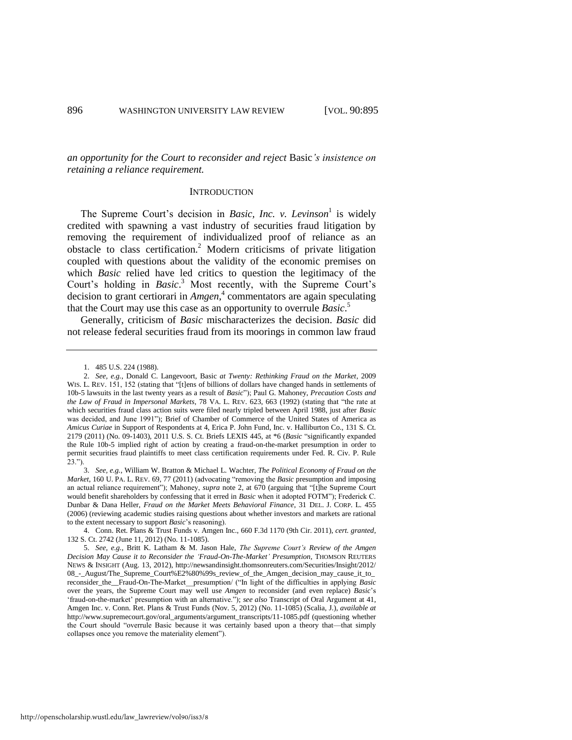*an opportunity for the Court to reconsider and reject* Basic*'s insistence on retaining a reliance requirement.* 

#### <span id="page-2-1"></span><span id="page-2-0"></span>**INTRODUCTION**

The Supreme Court's decision in *Basic, Inc. v. Levinson*<sup>1</sup> is widely credited with spawning a vast industry of securities fraud litigation by removing the requirement of individualized proof of reliance as an obstacle to class certification.<sup>2</sup> Modern criticisms of private litigation coupled with questions about the validity of the economic premises on which *Basic* relied have led critics to question the legitimacy of the Court's holding in *Basic*. <sup>3</sup> Most recently, with the Supreme Court's decision to grant certiorari in *Amgen*, 4 commentators are again speculating that the Court may use this case as an opportunity to overrule *Basic*. 5

Generally, criticism of *Basic* mischaracterizes the decision. *Basic* did not release federal securities fraud from its moorings in common law fraud

<sup>1. 485</sup> U.S. 224 (1988).

<sup>2.</sup> *See, e.g.*, Donald C. Langevoort, Basic *at Twenty: Rethinking Fraud on the Market*, 2009 WIS. L. REV. 151, 152 (stating that "[t]ens of billions of dollars have changed hands in settlements of 10b-5 lawsuits in the last twenty years as a result of *Basic*"); Paul G. Mahoney, *Precaution Costs and the Law of Fraud in Impersonal Markets*, 78 VA. L. REV. 623, 663 (1992) (stating that "the rate at which securities fraud class action suits were filed nearly tripled between April 1988, just after *Basic* was decided, and June 1991"); Brief of Chamber of Commerce of the United States of America as *Amicus Curiae* in Support of Respondents at 4, Erica P. John Fund, Inc. v. Halliburton Co., 131 S. Ct. 2179 (2011) (No. 09-1403), 2011 U.S. S. Ct. Briefs LEXIS 445, at \*6 (*Basic* "significantly expanded the Rule 10b-5 implied right of action by creating a fraud-on-the-market presumption in order to permit securities fraud plaintiffs to meet class certification requirements under Fed. R. Civ. P. Rule 23.").

<sup>3.</sup> *See, e.g.*, William W. Bratton & Michael L. Wachter, *The Political Economy of Fraud on the Market*, 160 U. PA. L. REV. 69, 77 (2011) (advocating "removing the *Basic* presumption and imposing an actual reliance requirement"); Mahoney, *supra* note [2,](#page-2-0) at 670 (arguing that "[t]he Supreme Court would benefit shareholders by confessing that it erred in *Basic* when it adopted FOTM"); Frederick C. Dunbar & Dana Heller, *Fraud on the Market Meets Behavioral Finance*, 31 DEL. J. CORP. L. 455 (2006) (reviewing academic studies raising questions about whether investors and markets are rational to the extent necessary to support *Basic*'s reasoning).

<sup>4.</sup> Conn. Ret. Plans & Trust Funds v. Amgen Inc., 660 F.3d 1170 (9th Cir. 2011), *cert. granted*, 132 S. Ct. 2742 (June 11, 2012) (No. 11-1085).

<sup>5.</sup> *See, e.g.*, Britt K. Latham & M. Jason Hale, *The Supreme Court's Review of the Amgen Decision May Cause it to Reconsider the 'Fraud-On-The-Market' Presumption*, THOMSON REUTERS NEWS & INSIGHT (Aug. 13, 2012), http://newsandinsight.thomsonreuters.com/Securities/Insight/2012/ 08\_-\_August/The\_Supreme\_Court%E2%80%99s\_review\_of\_the\_Amgen\_decision\_may\_cause\_it\_to\_ reconsider\_the\_\_Fraud-On-The-Market\_\_presumption/ ("In light of the difficulties in applying *Basic* over the years, the Supreme Court may well use *Amgen* to reconsider (and even replace) *Basic*'s 'fraud-on-the-market' presumption with an alternative."); *see also* Transcript of Oral Argument at 41, Amgen Inc. v. Conn. Ret. Plans & Trust Funds (Nov. 5, 2012) (No. 11-1085) (Scalia, J.), *available at* http://www.supremecourt.gov/oral\_arguments/argument\_transcripts/11-1085.pdf (questioning whether the Court should "overrule Basic because it was certainly based upon a theory that—that simply collapses once you remove the materiality element").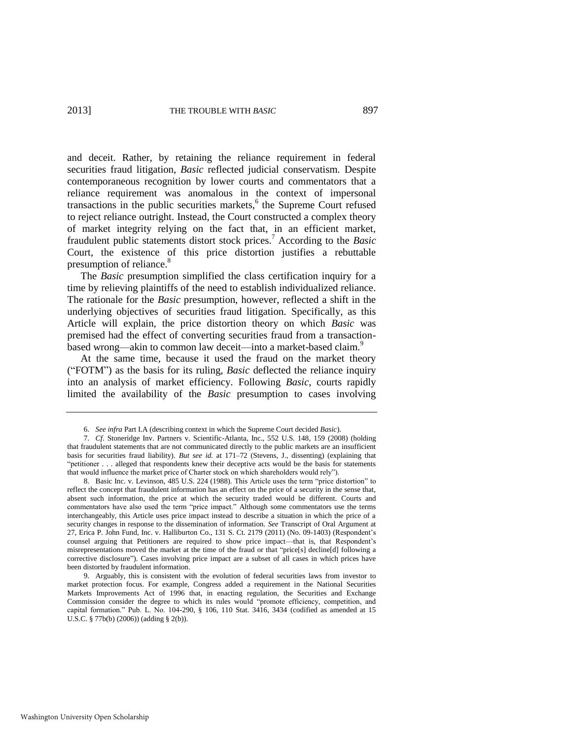and deceit. Rather, by retaining the reliance requirement in federal securities fraud litigation, *Basic* reflected judicial conservatism. Despite contemporaneous recognition by lower courts and commentators that a reliance requirement was anomalous in the context of impersonal transactions in the public securities markets,<sup>6</sup> the Supreme Court refused to reject reliance outright. Instead, the Court constructed a complex theory of market integrity relying on the fact that, in an efficient market, fraudulent public statements distort stock prices.<sup>7</sup> According to the *Basic* Court, the existence of this price distortion justifies a rebuttable presumption of reliance.<sup>8</sup>

The *Basic* presumption simplified the class certification inquiry for a time by relieving plaintiffs of the need to establish individualized reliance. The rationale for the *Basic* presumption, however, reflected a shift in the underlying objectives of securities fraud litigation. Specifically, as this Article will explain, the price distortion theory on which *Basic* was premised had the effect of converting securities fraud from a transactionbased wrong—akin to common law deceit—into a market-based claim.<sup>9</sup>

At the same time, because it used the fraud on the market theory ("FOTM") as the basis for its ruling, *Basic* deflected the reliance inquiry into an analysis of market efficiency. Following *Basic*, courts rapidly limited the availability of the *Basic* presumption to cases involving

<span id="page-3-0"></span><sup>6.</sup> *See infra* Part I.A (describing context in which the Supreme Court decided *Basic*).

<sup>7.</sup> *Cf*. Stoneridge Inv. Partners v. Scientific-Atlanta, Inc., 552 U.S. 148, 159 (2008) (holding that fraudulent statements that are not communicated directly to the public markets are an insufficient basis for securities fraud liability). *But see id.* at 171–72 (Stevens, J., dissenting) (explaining that "petitioner . . . alleged that respondents knew their deceptive acts would be the basis for statements that would influence the market price of Charter stock on which shareholders would rely").

<sup>8.</sup> Basic Inc. v. Levinson, 485 U.S. 224 (1988). This Article uses the term "price distortion" to reflect the concept that fraudulent information has an effect on the price of a security in the sense that, absent such information, the price at which the security traded would be different. Courts and commentators have also used the term "price impact." Although some commentators use the terms interchangeably, this Article uses price impact instead to describe a situation in which the price of a security changes in response to the dissemination of information. *See* Transcript of Oral Argument at 27, Erica P. John Fund, Inc. v. Halliburton Co., 131 S. Ct. 2179 (2011) (No. 09-1403) (Respondent's counsel arguing that Petitioners are required to show price impact—that is, that Respondent's misrepresentations moved the market at the time of the fraud or that "price[s] decline[d] following a corrective disclosure"). Cases involving price impact are a subset of all cases in which prices have been distorted by fraudulent information.

<sup>9.</sup> Arguably, this is consistent with the evolution of federal securities laws from investor to market protection focus. For example, Congress added a requirement in the National Securities Markets Improvements Act of 1996 that, in enacting regulation, the Securities and Exchange Commission consider the degree to which its rules would "promote efficiency, competition, and capital formation." Pub. L. No. 104-290, § 106, 110 Stat. 3416, 3434 (codified as amended at 15 U.S.C. § 77b(b) (2006)) (adding § 2(b)).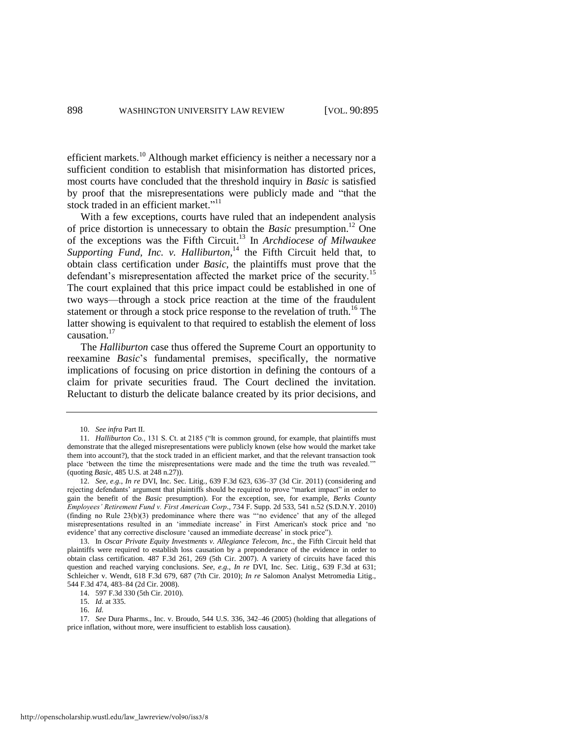efficient markets.<sup>10</sup> Although market efficiency is neither a necessary nor a sufficient condition to establish that misinformation has distorted prices, most courts have concluded that the threshold inquiry in *Basic* is satisfied by proof that the misrepresentations were publicly made and "that the stock traded in an efficient market."<sup>11</sup>

With a few exceptions, courts have ruled that an independent analysis of price distortion is unnecessary to obtain the *Basic* presumption.<sup>12</sup> One of the exceptions was the Fifth Circuit.<sup>13</sup> In *Archdiocese of Milwaukee*  Supporting Fund, Inc. v. Halliburton,<sup>14</sup> the Fifth Circuit held that, to obtain class certification under *Basic*, the plaintiffs must prove that the defendant's misrepresentation affected the market price of the security.<sup>15</sup> The court explained that this price impact could be established in one of two ways—through a stock price reaction at the time of the fraudulent statement or through a stock price response to the revelation of truth.<sup>16</sup> The latter showing is equivalent to that required to establish the element of loss causation.<sup>17</sup>

The *Halliburton* case thus offered the Supreme Court an opportunity to reexamine *Basic*'s fundamental premises, specifically, the normative implications of focusing on price distortion in defining the contours of a claim for private securities fraud. The Court declined the invitation. Reluctant to disturb the delicate balance created by its prior decisions, and

<sup>10.</sup> *See infra* Part II.

<sup>11.</sup> *Halliburton Co.*, 131 S. Ct. at 2185 ("It is common ground, for example, that plaintiffs must demonstrate that the alleged misrepresentations were publicly known (else how would the market take them into account?), that the stock traded in an efficient market, and that the relevant transaction took place 'between the time the misrepresentations were made and the time the truth was revealed.'" (quoting *Basic*, 485 U.S. at 248 n.27)).

<sup>12.</sup> *See, e.g.*, *In re* DVI, Inc. Sec. Litig., 639 F.3d 623, 636–37 (3d Cir. 2011) (considering and rejecting defendants' argument that plaintiffs should be required to prove "market impact" in order to gain the benefit of the *Basic* presumption). For the exception, see, for example, *Berks County Employees' Retirement Fund v. First American Corp.*, 734 F. Supp. 2d 533, 541 n.52 (S.D.N.Y. 2010) (finding no Rule 23(b)(3) predominance where there was "'no evidence' that any of the alleged misrepresentations resulted in an 'immediate increase' in First American's stock price and 'no evidence' that any corrective disclosure 'caused an immediate decrease' in stock price").

<sup>13.</sup> In *Oscar Private Equity Investments v. Allegiance Telecom, Inc.*, the Fifth Circuit held that plaintiffs were required to establish loss causation by a preponderance of the evidence in order to obtain class certification. 487 F.3d 261, 269 (5th Cir. 2007). A variety of circuits have faced this question and reached varying conclusions. *See, e.g.*, *In re* DVI, Inc. Sec. Litig., 639 F.3d at 631; Schleicher v. Wendt, 618 F.3d 679, 687 (7th Cir. 2010); *In re* Salomon Analyst Metromedia Litig., 544 F.3d 474, 483–84 (2d Cir. 2008).

<sup>14. 597</sup> F.3d 330 (5th Cir. 2010).

<sup>15.</sup> *Id.* at 335.

<sup>16.</sup> *Id.*

<sup>17.</sup> *See* Dura Pharms., Inc. v. Broudo, 544 U.S. 336, 342–46 (2005) (holding that allegations of price inflation, without more, were insufficient to establish loss causation).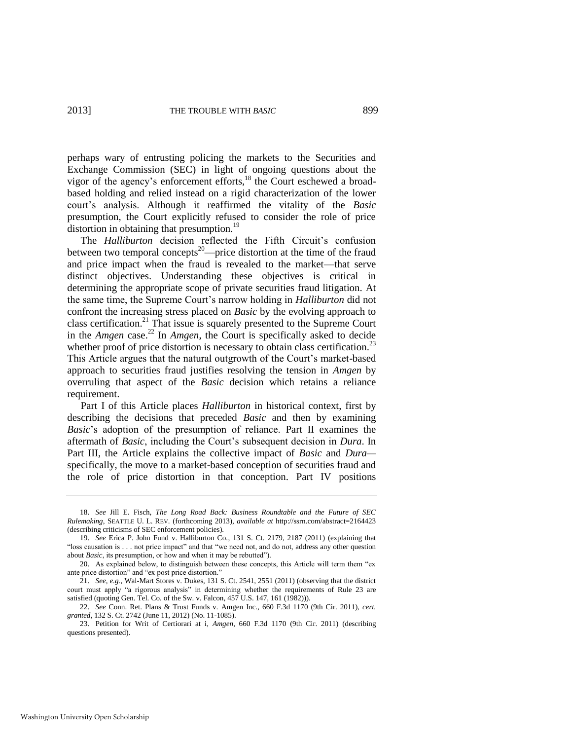perhaps wary of entrusting policing the markets to the Securities and Exchange Commission (SEC) in light of ongoing questions about the vigor of the agency's enforcement efforts,<sup>18</sup> the Court eschewed a broadbased holding and relied instead on a rigid characterization of the lower court's analysis. Although it reaffirmed the vitality of the *Basic* presumption, the Court explicitly refused to consider the role of price distortion in obtaining that presumption.<sup>19</sup>

The *Halliburton* decision reflected the Fifth Circuit's confusion between two temporal concepts<sup>20</sup>—price distortion at the time of the fraud and price impact when the fraud is revealed to the market—that serve distinct objectives. Understanding these objectives is critical in determining the appropriate scope of private securities fraud litigation. At the same time, the Supreme Court's narrow holding in *Halliburton* did not confront the increasing stress placed on *Basic* by the evolving approach to class certification.<sup>21</sup> That issue is squarely presented to the Supreme Court in the *Amgen* case.<sup>22</sup> In *Amgen*, the Court is specifically asked to decide whether proof of price distortion is necessary to obtain class certification.<sup>23</sup> This Article argues that the natural outgrowth of the Court's market-based approach to securities fraud justifies resolving the tension in *Amgen* by overruling that aspect of the *Basic* decision which retains a reliance requirement.

Part I of this Article places *Halliburton* in historical context, first by describing the decisions that preceded *Basic* and then by examining *Basic*'s adoption of the presumption of reliance. Part II examines the aftermath of *Basic*, including the Court's subsequent decision in *Dura*. In Part III, the Article explains the collective impact of *Basic* and *Dura* specifically, the move to a market-based conception of securities fraud and the role of price distortion in that conception. Part IV positions

<sup>18.</sup> *See* Jill E. Fisch, *The Long Road Back: Business Roundtable and the Future of SEC Rulemaking*, SEATTLE U. L. REV. (forthcoming 2013), *available at* http://ssrn.com/abstract=2164423 (describing criticisms of SEC enforcement policies).

<sup>19.</sup> *See* Erica P. John Fund v. Halliburton Co., 131 S. Ct. 2179, 2187 (2011) (explaining that "loss causation is . . . not price impact" and that "we need not, and do not, address any other question about *Basic*, its presumption, or how and when it may be rebutted").

<sup>20.</sup> As explained below, to distinguish between these concepts, this Article will term them "ex ante price distortion" and "ex post price distortion."

<sup>21.</sup> *See, e.g.*, Wal-Mart Stores v. Dukes, 131 S. Ct. 2541, 2551 (2011) (observing that the district court must apply "a rigorous analysis" in determining whether the requirements of Rule 23 are satisfied (quoting Gen. Tel. Co. of the Sw. v. Falcon, 457 U.S. 147, 161 (1982))).

<sup>22.</sup> *See* Conn. Ret. Plans & Trust Funds v. Amgen Inc., 660 F.3d 1170 (9th Cir. 2011), *cert. granted*, 132 S. Ct. 2742 (June 11, 2012) (No. 11-1085).

<sup>23.</sup> Petition for Writ of Certiorari at i, *Amgen*, 660 F.3d 1170 (9th Cir. 2011) (describing questions presented).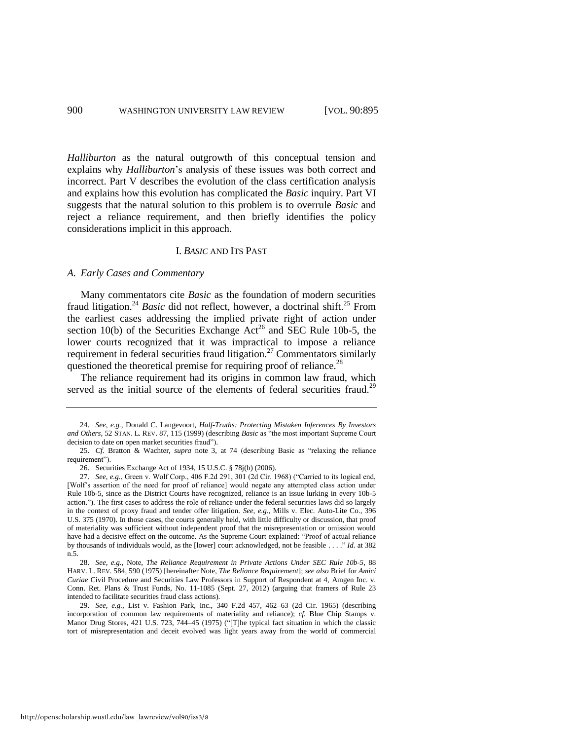*Halliburton* as the natural outgrowth of this conceptual tension and explains why *Halliburton*'s analysis of these issues was both correct and incorrect. Part V describes the evolution of the class certification analysis and explains how this evolution has complicated the *Basic* inquiry. Part VI suggests that the natural solution to this problem is to overrule *Basic* and reject a reliance requirement, and then briefly identifies the policy considerations implicit in this approach.

#### <span id="page-6-2"></span><span id="page-6-1"></span><span id="page-6-0"></span>I. *BASIC* AND ITS PAST

#### *A. Early Cases and Commentary*

Many commentators cite *Basic* as the foundation of modern securities fraud litigation.<sup>24</sup> *Basic* did not reflect, however, a doctrinal shift.<sup>25</sup> From the earliest cases addressing the implied private right of action under section 10(b) of the Securities Exchange  $\text{Act}^{26}$  and SEC Rule 10b-5, the lower courts recognized that it was impractical to impose a reliance requirement in federal securities fraud litigation.<sup>27</sup> Commentators similarly questioned the theoretical premise for requiring proof of reliance.<sup>28</sup>

The reliance requirement had its origins in common law fraud, which served as the initial source of the elements of federal securities fraud.<sup>29</sup>

<sup>24.</sup> *See, e.g.*, Donald C. Langevoort, *Half-Truths: Protecting Mistaken Inferences By Investors and Others*, 52 STAN. L. REV. 87, 115 (1999) (describing *Basic* as "the most important Supreme Court decision to date on open market securities fraud").

<sup>25.</sup> *Cf.* Bratton & Wachter, *supra* note [3,](#page-2-1) at 74 (describing Basic as "relaxing the reliance requirement").

<sup>26.</sup> Securities Exchange Act of 1934, 15 U.S.C. § 78j(b) (2006).

<sup>27.</sup> *See, e.g.*, Green v. Wolf Corp., 406 F.2d 291, 301 (2d Cir. 1968) ("Carried to its logical end, [Wolf's assertion of the need for proof of reliance] would negate any attempted class action under Rule 10b-5, since as the District Courts have recognized, reliance is an issue lurking in every 10b-5 action."). The first cases to address the role of reliance under the federal securities laws did so largely in the context of proxy fraud and tender offer litigation. *See, e.g.*, Mills v. Elec. Auto-Lite Co., 396 U.S. 375 (1970). In those cases, the courts generally held, with little difficulty or discussion, that proof of materiality was sufficient without independent proof that the misrepresentation or omission would have had a decisive effect on the outcome. As the Supreme Court explained: "Proof of actual reliance by thousands of individuals would, as the [lower] court acknowledged, not be feasible . . . ." *Id.* at 382 n.5.

<sup>28.</sup> *See, e.g.*, Note, *The Reliance Requirement in Private Actions Under SEC Rule 10b-5*, 88 HARV. L. REV. 584, 590 (1975) [hereinafter Note, *The Reliance Requirement*]; *see also* Brief for *Amici Curiae* Civil Procedure and Securities Law Professors in Support of Respondent at 4, Amgen Inc. v. Conn. Ret. Plans & Trust Funds, No. 11-1085 (Sept. 27, 2012) (arguing that framers of Rule 23 intended to facilitate securities fraud class actions).

<sup>29.</sup> *See, e.g.*, List v. Fashion Park, Inc., 340 F.2d 457, 462–63 (2d Cir. 1965) (describing incorporation of common law requirements of materiality and reliance); *cf.* Blue Chip Stamps v. Manor Drug Stores, 421 U.S. 723, 744–45 (1975) ("[T]he typical fact situation in which the classic tort of misrepresentation and deceit evolved was light years away from the world of commercial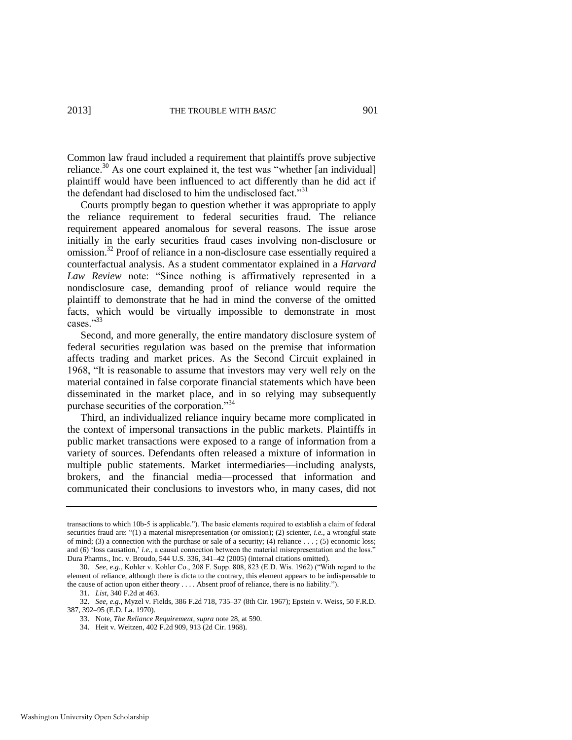<span id="page-7-0"></span>Common law fraud included a requirement that plaintiffs prove subjective reliance.<sup>30</sup> As one court explained it, the test was "whether [an individual] plaintiff would have been influenced to act differently than he did act if the defendant had disclosed to him the undisclosed fact."<sup>31</sup>

Courts promptly began to question whether it was appropriate to apply the reliance requirement to federal securities fraud. The reliance requirement appeared anomalous for several reasons. The issue arose initially in the early securities fraud cases involving non-disclosure or omission.<sup>32</sup> Proof of reliance in a non-disclosure case essentially required a counterfactual analysis. As a student commentator explained in a *Harvard Law Review* note: "Since nothing is affirmatively represented in a nondisclosure case, demanding proof of reliance would require the plaintiff to demonstrate that he had in mind the converse of the omitted facts, which would be virtually impossible to demonstrate in most cases."33

Second, and more generally, the entire mandatory disclosure system of federal securities regulation was based on the premise that information affects trading and market prices. As the Second Circuit explained in 1968, "It is reasonable to assume that investors may very well rely on the material contained in false corporate financial statements which have been disseminated in the market place, and in so relying may subsequently purchase securities of the corporation."<sup>34</sup>

Third, an individualized reliance inquiry became more complicated in the context of impersonal transactions in the public markets. Plaintiffs in public market transactions were exposed to a range of information from a variety of sources. Defendants often released a mixture of information in multiple public statements. Market intermediaries—including analysts, brokers, and the financial media—processed that information and communicated their conclusions to investors who, in many cases, did not

34. Heit v. Weitzen, 402 F.2d 909, 913 (2d Cir. 1968).

transactions to which 10b-5 is applicable."). The basic elements required to establish a claim of federal securities fraud are: "(1) a material misrepresentation (or omission); (2) scienter, *i.e.*, a wrongful state of mind; (3) a connection with the purchase or sale of a security; (4) reliance  $\dots$ ; (5) economic loss; and (6) 'loss causation,' *i.e.*, a causal connection between the material misrepresentation and the loss." Dura Pharms., Inc. v. Broudo, 544 U.S. 336, 341–42 (2005) (internal citations omitted).

<sup>30.</sup> *See, e.g.*, Kohler v. Kohler Co., 208 F. Supp. 808, 823 (E.D. Wis. 1962) ("With regard to the element of reliance, although there is dicta to the contrary, this element appears to be indispensable to the cause of action upon either theory . . . . Absent proof of reliance, there is no liability.").

<sup>31.</sup> *List*, 340 F.2d at 463.

<sup>32.</sup> *See, e.g.*, Myzel v. Fields, 386 F.2d 718, 735–37 (8th Cir. 1967); Epstein v. Weiss, 50 F.R.D. 387, 392–95 (E.D. La. 1970).

<sup>33.</sup> Note, *The Reliance Requirement*, *supra* not[e 28,](#page-6-0) at 590.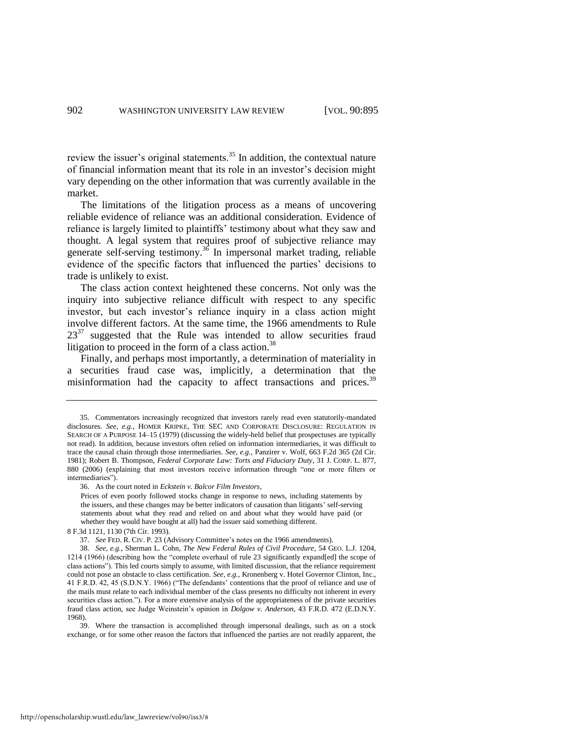review the issuer's original statements.<sup>35</sup> In addition, the contextual nature of financial information meant that its role in an investor's decision might vary depending on the other information that was currently available in the market.

The limitations of the litigation process as a means of uncovering reliable evidence of reliance was an additional consideration. Evidence of reliance is largely limited to plaintiffs' testimony about what they saw and thought. A legal system that requires proof of subjective reliance may generate self-serving testimony.<sup>36</sup> In impersonal market trading, reliable evidence of the specific factors that influenced the parties' decisions to trade is unlikely to exist.

The class action context heightened these concerns. Not only was the inquiry into subjective reliance difficult with respect to any specific investor, but each investor's reliance inquiry in a class action might involve different factors. At the same time, the 1966 amendments to Rule  $23^{37}$  suggested that the Rule was intended to allow securities fraud litigation to proceed in the form of a class action.<sup>38</sup>

<span id="page-8-1"></span><span id="page-8-0"></span>Finally, and perhaps most importantly, a determination of materiality in a securities fraud case was, implicitly, a determination that the misinformation had the capacity to affect transactions and prices.<sup>39</sup>

39. Where the transaction is accomplished through impersonal dealings, such as on a stock exchange, or for some other reason the factors that influenced the parties are not readily apparent, the

<sup>35.</sup> Commentators increasingly recognized that investors rarely read even statutorily-mandated disclosures. *See, e.g.*, HOMER KRIPKE, THE SEC AND CORPORATE DISCLOSURE: REGULATION IN SEARCH OF A PURPOSE 14–15 (1979) (discussing the widely-held belief that prospectuses are typically not read). In addition, because investors often relied on information intermediaries, it was difficult to trace the causal chain through those intermediaries. *See, e.g.*, Panzirer v. Wolf, 663 F.2d 365 (2d Cir. 1981); Robert B. Thompson, *Federal Corporate Law: Torts and Fiduciary Duty*, 31 J. CORP. L. 877, 880 (2006) (explaining that most investors receive information through "one or more filters or intermediaries").

<sup>36.</sup> As the court noted in *Eckstein v. Balcor Film Investors*,

Prices of even poorly followed stocks change in response to news, including statements by the issuers, and these changes may be better indicators of causation than litigants' self-serving statements about what they read and relied on and about what they would have paid (or whether they would have bought at all) had the issuer said something different.

<sup>8</sup> F.3d 1121, 1130 (7th Cir. 1993).

<sup>37.</sup> *See* FED. R. CIV. P. 23 (Advisory Committee's notes on the 1966 amendments).

<sup>38.</sup> *See, e.g.*, Sherman L. Cohn, *The New Federal Rules of Civil Procedure*, 54 GEO. L.J. 1204, 1214 (1966) (describing how the "complete overhaul of rule 23 significantly expand[ed] the scope of class actions"). This led courts simply to assume, with limited discussion, that the reliance requirement could not pose an obstacle to class certification. *See, e.g.*, Kronenberg v. Hotel Governor Clinton, Inc., 41 F.R.D. 42, 45 (S.D.N.Y. 1966) ("The defendants' contentions that the proof of reliance and use of the mails must relate to each individual member of the class presents no difficulty not inherent in every securities class action."). For a more extensive analysis of the appropriateness of the private securities fraud class action, see Judge Weinstein's opinion in *Dolgow v. Anderson*, 43 F.R.D. 472 (E.D.N.Y. 1968).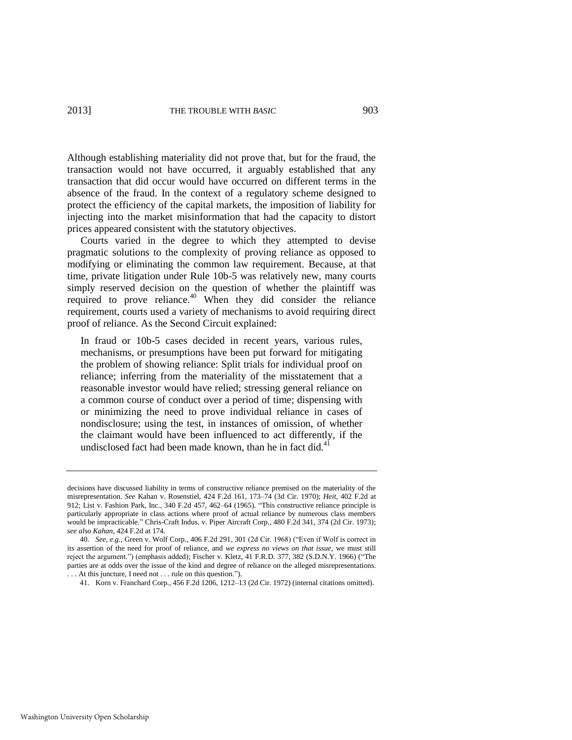Although establishing materiality did not prove that, but for the fraud, the transaction would not have occurred, it arguably established that any transaction that did occur would have occurred on different terms in the absence of the fraud. In the context of a regulatory scheme designed to protect the efficiency of the capital markets, the imposition of liability for injecting into the market misinformation that had the capacity to distort prices appeared consistent with the statutory objectives.

Courts varied in the degree to which they attempted to devise pragmatic solutions to the complexity of proving reliance as opposed to modifying or eliminating the common law requirement. Because, at that time, private litigation under Rule 10b-5 was relatively new, many courts simply reserved decision on the question of whether the plaintiff was required to prove reliance.<sup>40</sup> When they did consider the reliance requirement, courts used a variety of mechanisms to avoid requiring direct proof of reliance. As the Second Circuit explained:

In fraud or 10b-5 cases decided in recent years, various rules, mechanisms, or presumptions have been put forward for mitigating the problem of showing reliance: Split trials for individual proof on reliance; inferring from the materiality of the misstatement that a reasonable investor would have relied; stressing general reliance on a common course of conduct over a period of time; dispensing with or minimizing the need to prove individual reliance in cases of nondisclosure; using the test, in instances of omission, of whether the claimant would have been influenced to act differently, if the undisclosed fact had been made known, than he in fact did. $41$ 

decisions have discussed liability in terms of constructive reliance premised on the materiality of the misrepresentation. *See* Kahan v. Rosenstiel, 424 F.2d 161, 173–74 (3d Cir. 1970); *Heit*, 402 F.2d at 912; List v. Fashion Park, Inc., 340 F.2d 457, 462–64 (1965). "This constructive reliance principle is particularly appropriate in class actions where proof of actual reliance by numerous class members would be impracticable." Chris-Craft Indus. v. Piper Aircraft Corp., 480 F.2d 341, 374 (2d Cir. 1973); *see also Kahan*, 424 F.2d at 174.

<sup>40.</sup> *See, e.g.*, Green v. Wolf Corp., 406 F.2d 291, 301 (2d Cir. 1968) ("Even if Wolf is correct in its assertion of the need for proof of reliance, and *we express no views on that issue*, we must still reject the argument.") (emphasis added); Fischer v. Kletz, 41 F.R.D. 377, 382 (S.D.N.Y. 1966) ("The parties are at odds over the issue of the kind and degree of reliance on the alleged misrepresentations. . . . At this juncture, I need not . . . rule on this question.").

<sup>41.</sup> Korn v. Franchard Corp., 456 F.2d 1206, 1212–13 (2d Cir. 1972) (internal citations omitted).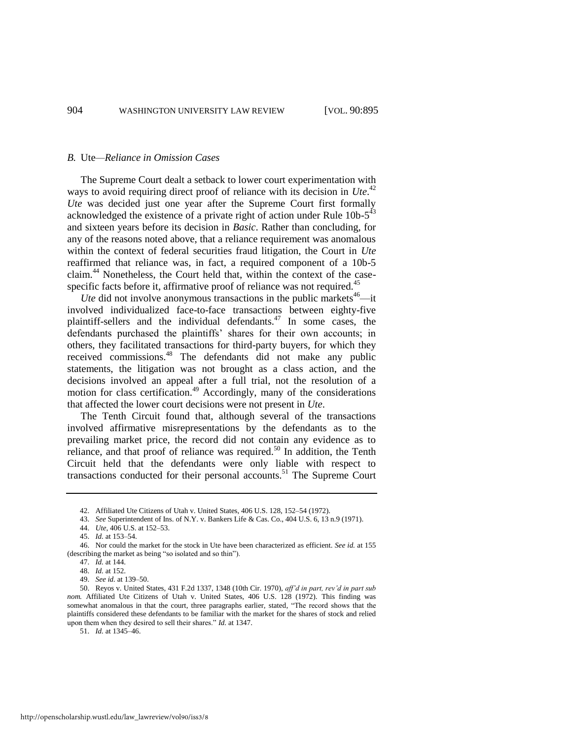#### *B.* Ute*—Reliance in Omission Cases*

The Supreme Court dealt a setback to lower court experimentation with ways to avoid requiring direct proof of reliance with its decision in *Ute*.<sup>42</sup> *Ute* was decided just one year after the Supreme Court first formally acknowledged the existence of a private right of action under Rule  $10b-5^{43}$ and sixteen years before its decision in *Basic*. Rather than concluding, for any of the reasons noted above, that a reliance requirement was anomalous within the context of federal securities fraud litigation, the Court in *Ute* reaffirmed that reliance was, in fact, a required component of a 10b-5 claim.<sup>44</sup> Nonetheless, the Court held that, within the context of the casespecific facts before it, affirmative proof of reliance was not required.<sup>45</sup>

*Ute* did not involve anonymous transactions in the public markets<sup>46</sup>—it involved individualized face-to-face transactions between eighty-five plaintiff-sellers and the individual defendants.<sup>47</sup> In some cases, the defendants purchased the plaintiffs' shares for their own accounts; in others, they facilitated transactions for third-party buyers, for which they received commissions.<sup>48</sup> The defendants did not make any public statements, the litigation was not brought as a class action, and the decisions involved an appeal after a full trial, not the resolution of a motion for class certification.<sup>49</sup> Accordingly, many of the considerations that affected the lower court decisions were not present in *Ute*.

The Tenth Circuit found that, although several of the transactions involved affirmative misrepresentations by the defendants as to the prevailing market price, the record did not contain any evidence as to reliance, and that proof of reliance was required.<sup>50</sup> In addition, the Tenth Circuit held that the defendants were only liable with respect to transactions conducted for their personal accounts.<sup>51</sup> The Supreme Court

51. *Id.* at 1345–46.

<sup>42.</sup> Affiliated Ute Citizens of Utah v. United States, 406 U.S. 128, 152–54 (1972).

<sup>43.</sup> *See* Superintendent of Ins. of N.Y. v. Bankers Life & Cas. Co., 404 U.S. 6, 13 n.9 (1971).

<sup>44.</sup> *Ute*, 406 U.S. at 152–53.

<sup>45.</sup> *Id.* at 153–54.

<sup>46.</sup> Nor could the market for the stock in Ute have been characterized as efficient. *See id.* at 155 (describing the market as being "so isolated and so thin").

<sup>47.</sup> *Id.* at 144.

<sup>48.</sup> *Id.* at 152.

<sup>49.</sup> *See id.* at 139–50.

<sup>50.</sup> Reyos v. United States, 431 F.2d 1337, 1348 (10th Cir. 1970), *aff'd in part, rev'd in part sub nom.* Affiliated Ute Citizens of Utah v. United States, 406 U.S. 128 (1972). This finding was somewhat anomalous in that the court, three paragraphs earlier, stated, "The record shows that the plaintiffs considered these defendants to be familiar with the market for the shares of stock and relied upon them when they desired to sell their shares." *Id.* at 1347.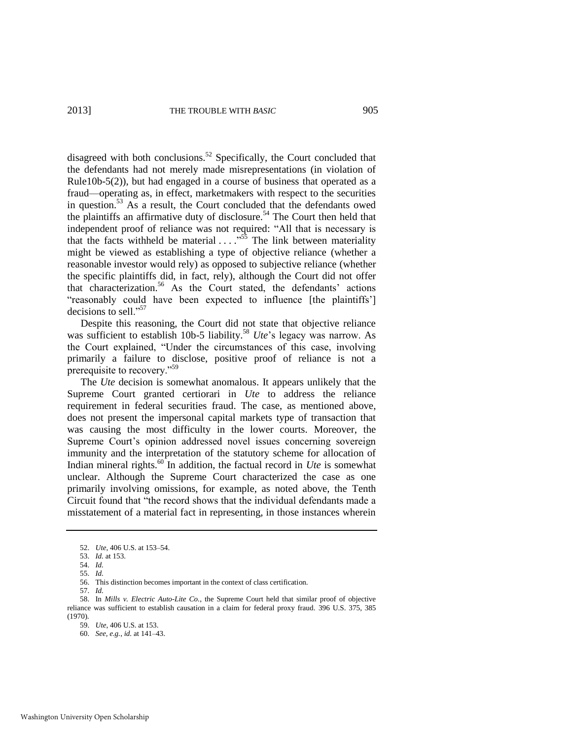disagreed with both conclusions.<sup>52</sup> Specifically, the Court concluded that the defendants had not merely made misrepresentations (in violation of Rule10b-5(2)), but had engaged in a course of business that operated as a fraud—operating as, in effect, marketmakers with respect to the securities in question.<sup>53</sup> As a result, the Court concluded that the defendants owed the plaintiffs an affirmative duty of disclosure.<sup>54</sup> The Court then held that independent proof of reliance was not required: "All that is necessary is that the facts withheld be material  $\ldots$ <sup>55</sup>. The link between materiality might be viewed as establishing a type of objective reliance (whether a reasonable investor would rely) as opposed to subjective reliance (whether the specific plaintiffs did, in fact, rely), although the Court did not offer that characterization.<sup>56</sup> As the Court stated, the defendants' actions "reasonably could have been expected to influence [the plaintiffs'] decisions to sell."<sup>57</sup>

Despite this reasoning, the Court did not state that objective reliance was sufficient to establish 10b-5 liability.<sup>58</sup> *Ute*'s legacy was narrow. As the Court explained, "Under the circumstances of this case, involving primarily a failure to disclose, positive proof of reliance is not a prerequisite to recovery."<sup>59</sup>

The *Ute* decision is somewhat anomalous. It appears unlikely that the Supreme Court granted certiorari in *Ute* to address the reliance requirement in federal securities fraud. The case, as mentioned above, does not present the impersonal capital markets type of transaction that was causing the most difficulty in the lower courts. Moreover, the Supreme Court's opinion addressed novel issues concerning sovereign immunity and the interpretation of the statutory scheme for allocation of Indian mineral rights.<sup>60</sup> In addition, the factual record in *Ute* is somewhat unclear. Although the Supreme Court characterized the case as one primarily involving omissions, for example, as noted above, the Tenth Circuit found that "the record shows that the individual defendants made a misstatement of a material fact in representing, in those instances wherein

57. *Id.*

<sup>52.</sup> *Ute*, 406 U.S. at 153–54.

<sup>53.</sup> *Id.* at 153.

<sup>54.</sup> *Id.* 

<sup>55.</sup> *Id.*

<sup>56.</sup> This distinction becomes important in the context of class certification.

<sup>58.</sup> In *Mills v. Electric Auto-Lite Co.*, the Supreme Court held that similar proof of objective reliance was sufficient to establish causation in a claim for federal proxy fraud. 396 U.S. 375, 385 (1970).

<sup>59.</sup> *Ute*, 406 U.S. at 153.

<sup>60.</sup> *See, e.g.*, *id.* at 141–43.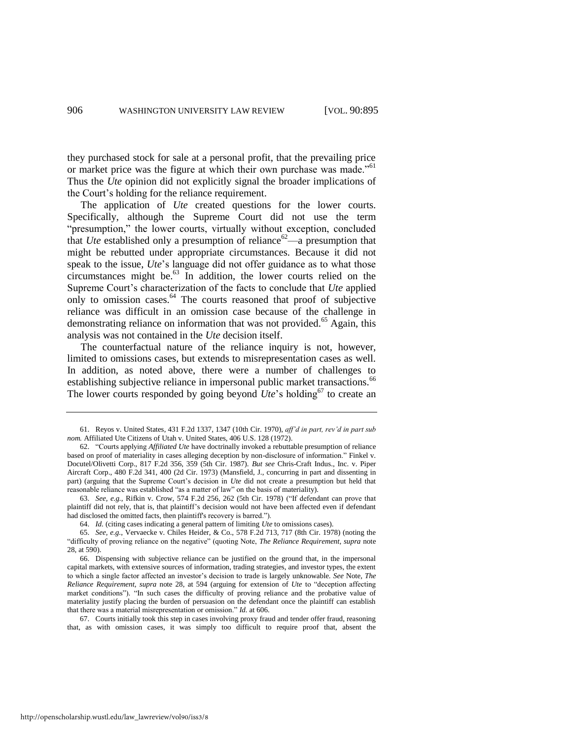they purchased stock for sale at a personal profit, that the prevailing price or market price was the figure at which their own purchase was made."<sup>61</sup> Thus the *Ute* opinion did not explicitly signal the broader implications of the Court's holding for the reliance requirement.

The application of *Ute* created questions for the lower courts. Specifically, although the Supreme Court did not use the term "presumption," the lower courts, virtually without exception, concluded that *Ute* established only a presumption of reliance<sup>62</sup>—a presumption that might be rebutted under appropriate circumstances. Because it did not speak to the issue, *Ute*'s language did not offer guidance as to what those circumstances might be.<sup>63</sup> In addition, the lower courts relied on the Supreme Court's characterization of the facts to conclude that *Ute* applied only to omission cases.<sup>64</sup> The courts reasoned that proof of subjective reliance was difficult in an omission case because of the challenge in demonstrating reliance on information that was not provided.<sup>65</sup> Again, this analysis was not contained in the *Ute* decision itself.

The counterfactual nature of the reliance inquiry is not, however, limited to omissions cases, but extends to misrepresentation cases as well. In addition, as noted above, there were a number of challenges to establishing subjective reliance in impersonal public market transactions.<sup>66</sup> The lower courts responded by going beyond  $Ute$ 's holding<sup>67</sup> to create an

63. *See, e.g.*, Rifkin v. Crow, 574 F.2d 256, 262 (5th Cir. 1978) ("If defendant can prove that plaintiff did not rely, that is, that plaintiff's decision would not have been affected even if defendant had disclosed the omitted facts, then plaintiff's recovery is barred.").

64. *Id.* (citing cases indicating a general pattern of limiting *Ute* to omissions cases).

65. *See, e.g.*, Vervaecke v. Chiles Heider, & Co., 578 F.2d 713, 717 (8th Cir. 1978) (noting the "difficulty of proving reliance on the negative" (quoting Note, *The Reliance Requirement*, *supra* note [28,](#page-6-0) at 590).

66. Dispensing with subjective reliance can be justified on the ground that, in the impersonal capital markets, with extensive sources of information, trading strategies, and investor types, the extent to which a single factor affected an investor's decision to trade is largely unknowable. *See* Note, *The Reliance Requirement*, *supra* note [28,](#page-6-0) at 594 (arguing for extension of *Ute* to "deception affecting market conditions"). "In such cases the difficulty of proving reliance and the probative value of materiality justify placing the burden of persuasion on the defendant once the plaintiff can establish that there was a material misrepresentation or omission." *Id.* at 606.

67. Courts initially took this step in cases involving proxy fraud and tender offer fraud, reasoning that, as with omission cases, it was simply too difficult to require proof that, absent the

<sup>61.</sup> Reyos v. United States, 431 F.2d 1337, 1347 (10th Cir. 1970), *aff'd in part, rev'd in part sub nom.* Affiliated Ute Citizens of Utah v. United States, 406 U.S. 128 (1972).

<sup>62. &</sup>quot;Courts applying *Affiliated Ute* have doctrinally invoked a rebuttable presumption of reliance based on proof of materiality in cases alleging deception by non-disclosure of information." Finkel v. Docutel/Olivetti Corp., 817 F.2d 356, 359 (5th Cir. 1987). *But see* Chris-Craft Indus., Inc. v. Piper Aircraft Corp., 480 F.2d 341, 400 (2d Cir. 1973) (Mansfield, J., concurring in part and dissenting in part) (arguing that the Supreme Court's decision in *Ute* did not create a presumption but held that reasonable reliance was established "as a matter of law" on the basis of materiality).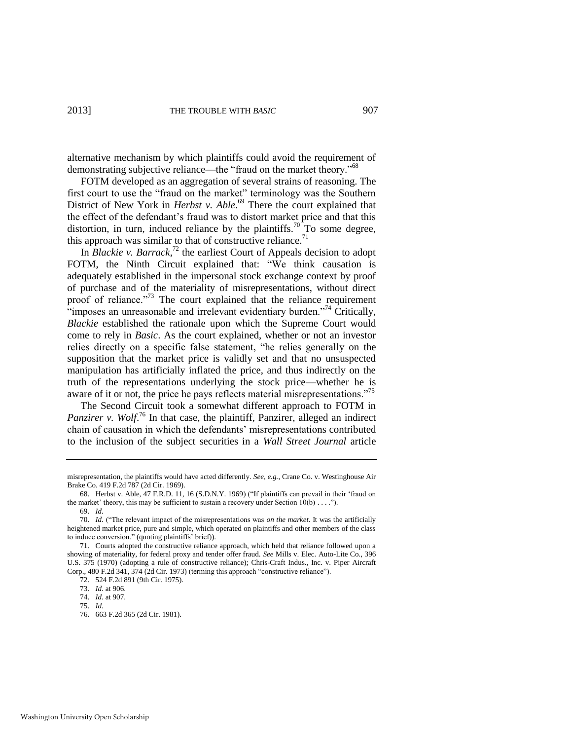alternative mechanism by which plaintiffs could avoid the requirement of demonstrating subjective reliance—the "fraud on the market theory."<sup>68</sup>

FOTM developed as an aggregation of several strains of reasoning. The first court to use the "fraud on the market" terminology was the Southern District of New York in *Herbst v. Able*.<sup>69</sup> There the court explained that the effect of the defendant's fraud was to distort market price and that this distortion, in turn, induced reliance by the plaintiffs.<sup>70</sup> To some degree, this approach was similar to that of constructive reliance.<sup>71</sup>

In *Blackie v. Barrack*, <sup>72</sup> the earliest Court of Appeals decision to adopt FOTM, the Ninth Circuit explained that: "We think causation is adequately established in the impersonal stock exchange context by proof of purchase and of the materiality of misrepresentations, without direct proof of reliance."<sup>73</sup> The court explained that the reliance requirement "imposes an unreasonable and irrelevant evidentiary burden."<sup>74</sup> Critically, *Blackie* established the rationale upon which the Supreme Court would come to rely in *Basic*. As the court explained, whether or not an investor relies directly on a specific false statement, "he relies generally on the supposition that the market price is validly set and that no unsuspected manipulation has artificially inflated the price, and thus indirectly on the truth of the representations underlying the stock price—whether he is aware of it or not, the price he pays reflects material misrepresentations."<sup>75</sup>

The Second Circuit took a somewhat different approach to FOTM in Panzirer v. Wolf.<sup>76</sup> In that case, the plaintiff, Panzirer, alleged an indirect chain of causation in which the defendants' misrepresentations contributed to the inclusion of the subject securities in a *Wall Street Journal* article

misrepresentation, the plaintiffs would have acted differently. *See, e.g.*, Crane Co. v. Westinghouse Air Brake Co. 419 F.2d 787 (2d Cir. 1969).

<sup>68.</sup> Herbst v. Able, 47 F.R.D. 11, 16 (S.D.N.Y. 1969) ("If plaintiffs can prevail in their 'fraud on the market' theory, this may be sufficient to sustain a recovery under Section  $10(b) \ldots$ ."). 69. *Id.*

<sup>70.</sup> *Id.* ("The relevant impact of the misrepresentations was *on the market*. It was the artificially heightened market price, pure and simple, which operated on plaintiffs and other members of the class to induce conversion." (quoting plaintiffs' brief)).

<sup>71.</sup> Courts adopted the constructive reliance approach, which held that reliance followed upon a showing of materiality, for federal proxy and tender offer fraud. *See* Mills v. Elec. Auto-Lite Co., 396 U.S. 375 (1970) (adopting a rule of constructive reliance); Chris-Craft Indus., Inc. v. Piper Aircraft Corp., 480 F.2d 341, 374 (2d Cir. 1973) (terming this approach "constructive reliance").

<sup>72. 524</sup> F.2d 891 (9th Cir. 1975).

<sup>73.</sup> *Id.* at 906.

<sup>74.</sup> *Id.* at 907.

<sup>75.</sup> *Id.*

<sup>76. 663</sup> F.2d 365 (2d Cir. 1981).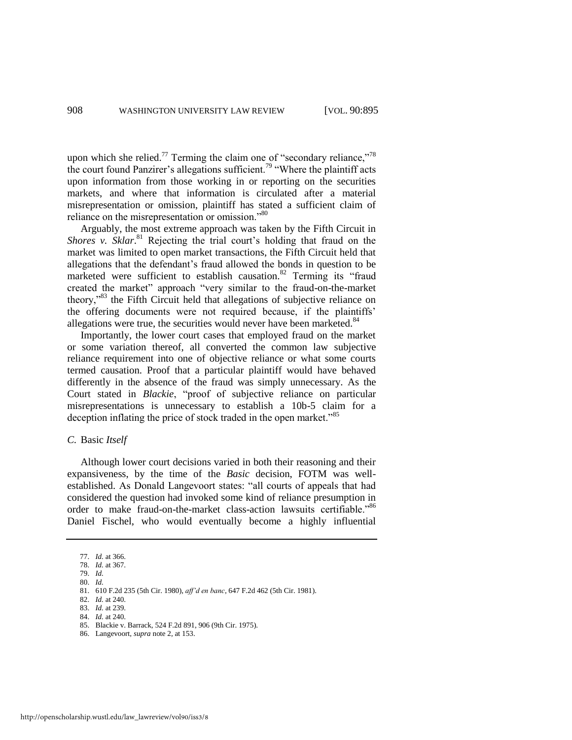upon which she relied.<sup>77</sup> Terming the claim one of "secondary reliance,"<sup>78</sup> the court found Panzirer's allegations sufficient.<sup>79</sup> "Where the plaintiff acts upon information from those working in or reporting on the securities markets, and where that information is circulated after a material misrepresentation or omission, plaintiff has stated a sufficient claim of reliance on the misrepresentation or omission."<sup>80</sup>

Arguably, the most extreme approach was taken by the Fifth Circuit in Shores v. Sklar.<sup>81</sup> Rejecting the trial court's holding that fraud on the market was limited to open market transactions, the Fifth Circuit held that allegations that the defendant's fraud allowed the bonds in question to be marketed were sufficient to establish causation.<sup>82</sup> Terming its "fraud created the market" approach "very similar to the fraud-on-the-market theory,<sup>33</sup> the Fifth Circuit held that allegations of subjective reliance on the offering documents were not required because, if the plaintiffs' allegations were true, the securities would never have been marketed.<sup>84</sup>

Importantly, the lower court cases that employed fraud on the market or some variation thereof, all converted the common law subjective reliance requirement into one of objective reliance or what some courts termed causation. Proof that a particular plaintiff would have behaved differently in the absence of the fraud was simply unnecessary. As the Court stated in *Blackie*, "proof of subjective reliance on particular misrepresentations is unnecessary to establish a 10b-5 claim for a deception inflating the price of stock traded in the open market."<sup>85</sup>

#### *C.* Basic *Itself*

Although lower court decisions varied in both their reasoning and their expansiveness, by the time of the *Basic* decision, FOTM was wellestablished. As Donald Langevoort states: "all courts of appeals that had considered the question had invoked some kind of reliance presumption in order to make fraud-on-the-market class-action lawsuits certifiable."86 Daniel Fischel, who would eventually become a highly influential

<sup>77.</sup> *Id.* at 366.

<sup>78.</sup> *Id.* at 367. 79. *Id.* 

<sup>80.</sup> *Id.*

<sup>81. 610</sup> F.2d 235 (5th Cir. 1980), *aff'd en banc*, 647 F.2d 462 (5th Cir. 1981).

<sup>82.</sup> *Id.* at 240.

<sup>83.</sup> *Id.* at 239.

<sup>84.</sup> *Id.* at 240.

<sup>85.</sup> Blackie v. Barrack, 524 F.2d 891, 906 (9th Cir. 1975).

<sup>86.</sup> Langevoort, *supra* not[e 2,](#page-2-0) at 153.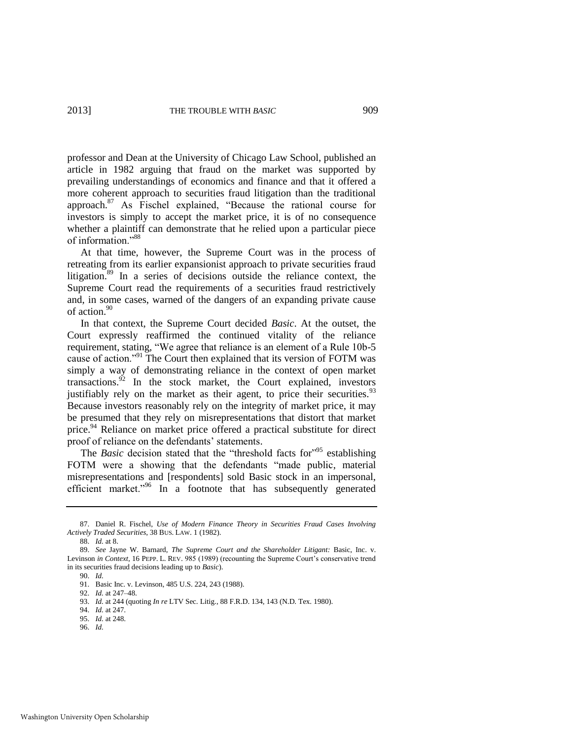<span id="page-15-2"></span>professor and Dean at the University of Chicago Law School, published an article in 1982 arguing that fraud on the market was supported by prevailing understandings of economics and finance and that it offered a more coherent approach to securities fraud litigation than the traditional approach.<sup>87</sup> As Fischel explained, "Because the rational course for investors is simply to accept the market price, it is of no consequence whether a plaintiff can demonstrate that he relied upon a particular piece of information<sup>"88</sup>

<span id="page-15-0"></span>At that time, however, the Supreme Court was in the process of retreating from its earlier expansionist approach to private securities fraud litigation.<sup>89</sup> In a series of decisions outside the reliance context, the Supreme Court read the requirements of a securities fraud restrictively and, in some cases, warned of the dangers of an expanding private cause of action.<sup>90</sup>

In that context, the Supreme Court decided *Basic*. At the outset, the Court expressly reaffirmed the continued vitality of the reliance requirement, stating, "We agree that reliance is an element of a Rule 10b-5 cause of action."<sup>91</sup> The Court then explained that its version of FOTM was simply a way of demonstrating reliance in the context of open market transactions. $92$  In the stock market, the Court explained, investors justifiably rely on the market as their agent, to price their securities.<sup>93</sup> Because investors reasonably rely on the integrity of market price, it may be presumed that they rely on misrepresentations that distort that market price.<sup>94</sup> Reliance on market price offered a practical substitute for direct proof of reliance on the defendants' statements.

<span id="page-15-1"></span>The *Basic* decision stated that the "threshold facts for"<sup>95</sup> establishing FOTM were a showing that the defendants "made public, material misrepresentations and [respondents] sold Basic stock in an impersonal, efficient market."<sup>96</sup> In a footnote that has subsequently generated

<sup>87.</sup> Daniel R. Fischel, *Use of Modern Finance Theory in Securities Fraud Cases Involving Actively Traded Securities*, 38 BUS. LAW. 1 (1982).

<sup>88.</sup> *Id.* at 8.

<sup>89.</sup> *See* Jayne W. Barnard, *The Supreme Court and the Shareholder Litigant:* Basic, Inc. v. Levinson *in Context*, 16 PEPP. L. REV. 985 (1989) (recounting the Supreme Court's conservative trend in its securities fraud decisions leading up to *Basic*).

<sup>90.</sup> *Id.*

<sup>91.</sup> Basic Inc. v. Levinson, 485 U.S. 224, 243 (1988).

<sup>92.</sup> *Id.* at 247–48.

<sup>93.</sup> *Id.* at 244 (quoting *In re* LTV Sec. Litig., 88 F.R.D. 134, 143 (N.D. Tex. 1980).

<sup>94.</sup> *Id.* at 247.

<sup>95.</sup> *Id.* at 248.

<sup>96.</sup> *Id.*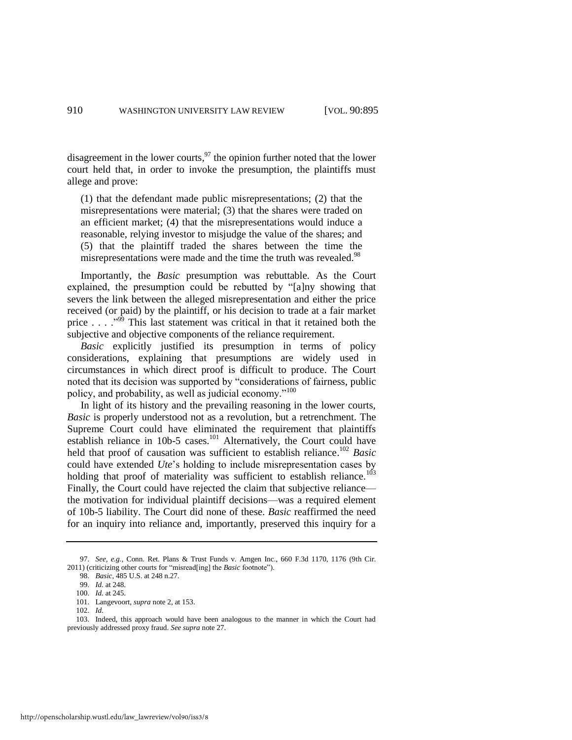disagreement in the lower courts, $97$  the opinion further noted that the lower court held that, in order to invoke the presumption, the plaintiffs must allege and prove:

<span id="page-16-0"></span>(1) that the defendant made public misrepresentations; (2) that the misrepresentations were material; (3) that the shares were traded on an efficient market; (4) that the misrepresentations would induce a reasonable, relying investor to misjudge the value of the shares; and (5) that the plaintiff traded the shares between the time the misrepresentations were made and the time the truth was revealed.<sup>98</sup>

Importantly, the *Basic* presumption was rebuttable. As the Court explained, the presumption could be rebutted by "[a]ny showing that severs the link between the alleged misrepresentation and either the price received (or paid) by the plaintiff, or his decision to trade at a fair market price  $\ldots$  . . .<sup>999</sup> This last statement was critical in that it retained both the subjective and objective components of the reliance requirement.

<span id="page-16-1"></span>*Basic* explicitly justified its presumption in terms of policy considerations, explaining that presumptions are widely used in circumstances in which direct proof is difficult to produce. The Court noted that its decision was supported by "considerations of fairness, public policy, and probability, as well as judicial economy."<sup>100</sup>

In light of its history and the prevailing reasoning in the lower courts, *Basic* is properly understood not as a revolution, but a retrenchment. The Supreme Court could have eliminated the requirement that plaintiffs establish reliance in 10b-5 cases.<sup>101</sup> Alternatively, the Court could have held that proof of causation was sufficient to establish reliance.<sup>102</sup> *Basic* could have extended *Ute*'s holding to include misrepresentation cases by holding that proof of materiality was sufficient to establish reliance.<sup>103</sup> Finally, the Court could have rejected the claim that subjective reliance the motivation for individual plaintiff decisions—was a required element of 10b-5 liability. The Court did none of these. *Basic* reaffirmed the need for an inquiry into reliance and, importantly, preserved this inquiry for a

<sup>97.</sup> *See, e.g.*, Conn. Ret. Plans & Trust Funds v. Amgen Inc., 660 F.3d 1170, 1176 (9th Cir. 2011) (criticizing other courts for "misread[ing] the *Basic* footnote").

<sup>98.</sup> *Basic*, 485 U.S. at 248 n.27.

<sup>99.</sup> *Id.* at 248.

<sup>100.</sup> *Id.* at 245.

<sup>101.</sup> Langevoort, *supra* not[e 2,](#page-2-0) at 153.

<sup>102.</sup> *Id.*

<sup>103.</sup> Indeed, this approach would have been analogous to the manner in which the Court had previously addressed proxy fraud. *See supra* not[e 27.](#page-6-1)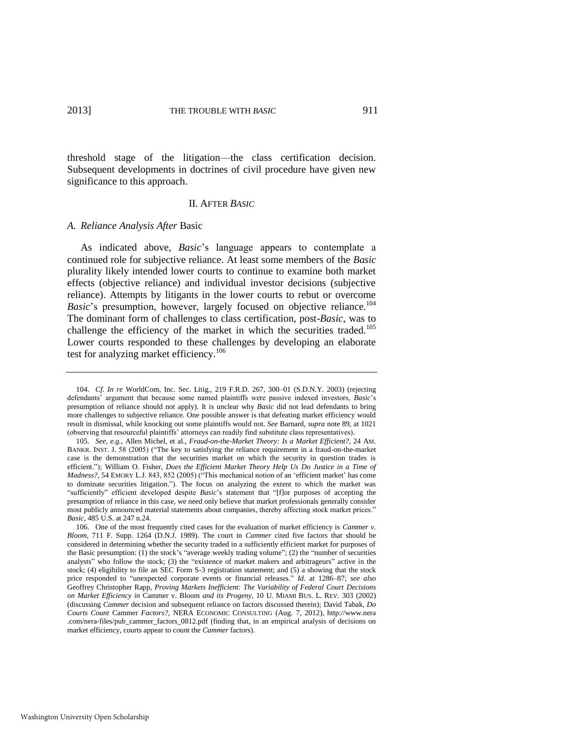threshold stage of the litigation—the class certification decision. Subsequent developments in doctrines of civil procedure have given new significance to this approach.

#### <span id="page-17-0"></span>II. AFTER *BASIC*

#### *A. Reliance Analysis After* Basic

As indicated above, *Basic*'s language appears to contemplate a continued role for subjective reliance. At least some members of the *Basic* plurality likely intended lower courts to continue to examine both market effects (objective reliance) and individual investor decisions (subjective reliance). Attempts by litigants in the lower courts to rebut or overcome *Basic*'s presumption, however, largely focused on objective reliance.<sup>104</sup> The dominant form of challenges to class certification, post-*Basic*, was to challenge the efficiency of the market in which the securities traded.<sup>105</sup> Lower courts responded to these challenges by developing an elaborate test for analyzing market efficiency.<sup>106</sup>

<sup>104.</sup> *Cf. In re* WorldCom, Inc. Sec. Litig., 219 F.R.D. 267, 300–01 (S.D.N.Y. 2003) (rejecting defendants' argument that because some named plaintiffs were passive indexed investors, *Basic*'s presumption of reliance should not apply). It is unclear why *Basic* did not lead defendants to bring more challenges to subjective reliance. One possible answer is that defeating market efficiency would result in dismissal, while knocking out some plaintiffs would not. *See* Barnard, *supra* not[e 89,](#page-15-0) at 1021 (observing that resourceful plaintiffs' attorneys can readily find substitute class representatives).

<sup>105.</sup> *See, e.g.*, Allen Michel, et al., *Fraud-on-the-Market Theory: Is a Market Efficient?*, 24 AM. BANKR. INST. J. 58 (2005) ("The key to satisfying the reliance requirement in a fraud-on-the-market case is the demonstration that the securities market on which the security in question trades is efficient."); William O. Fisher, *Does the Efficient Market Theory Help Us Do Justice in a Time of Madness?*, 54 EMORY L.J. 843, 852 (2005) ("This mechanical notion of an 'efficient market' has come to dominate securities litigation."). The focus on analyzing the extent to which the market was "sufficiently" efficient developed despite *Basic*'s statement that "[f]or purposes of accepting the presumption of reliance in this case, we need only believe that market professionals generally consider most publicly announced material statements about companies, thereby affecting stock market prices." *Basic*, 485 U.S. at 247 n.24.

<sup>106.</sup> One of the most frequently cited cases for the evaluation of market efficiency is *Cammer v. Bloom*, 711 F. Supp. 1264 (D.N.J. 1989). The court in *Cammer* cited five factors that should be considered in determining whether the security traded in a sufficiently efficient market for purposes of the Basic presumption: (1) the stock's "average weekly trading volume"; (2) the "number of securities analysts" who follow the stock; (3) the "existence of market makers and arbitrageurs" active in the stock; (4) eligibility to file an SEC Form S-3 registration statement; and (5) a showing that the stock price responded to "unexpected corporate events or financial releases." *Id.* at 1286–87; *see also* Geoffrey Christopher Rapp, *Proving Markets Inefficient: The Variability of Federal Court Decisions on Market Efficiency in* Cammer v. Bloom *and its Progeny*, 10 U. MIAMI BUS. L. REV. 303 (2002) (discussing *Cammer* decision and subsequent reliance on factors discussed therein); David Tabak, *Do Courts Count* Cammer *Factors?*, NERA ECONOMIC CONSULTING (Aug. 7, 2012), http://www.nera .com/nera-files/pub\_cammer\_factors\_0812.pdf (finding that, in an empirical analysis of decisions on market efficiency, courts appear to count the *Cammer* factors).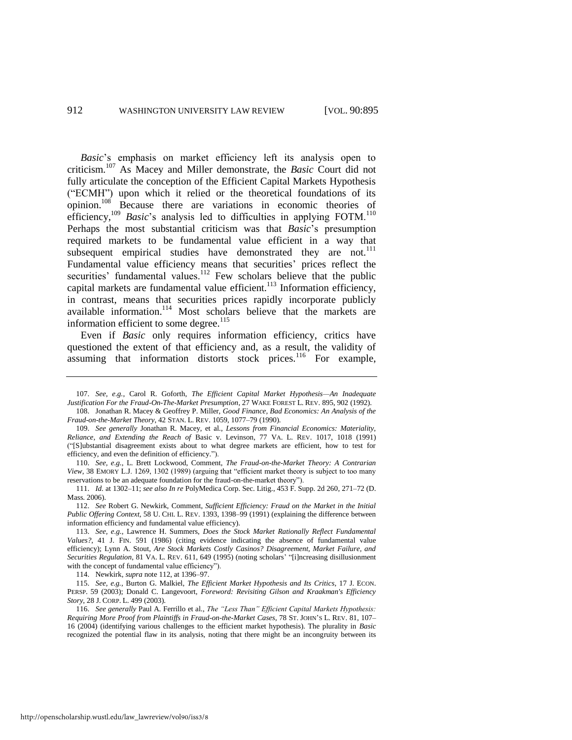<span id="page-18-1"></span>*Basic*'s emphasis on market efficiency left its analysis open to criticism.<sup>107</sup> As Macey and Miller demonstrate, the *Basic* Court did not fully articulate the conception of the Efficient Capital Markets Hypothesis ("ECMH") upon which it relied or the theoretical foundations of its opinion.<sup>108</sup> Because there are variations in economic theories of efficiency,<sup>109</sup> *Basic*'s analysis led to difficulties in applying FOTM.<sup>110</sup> Perhaps the most substantial criticism was that *Basic*'s presumption required markets to be fundamental value efficient in a way that subsequent empirical studies have demonstrated they are not.<sup>111</sup> Fundamental value efficiency means that securities' prices reflect the securities' fundamental values.<sup>112</sup> Few scholars believe that the public capital markets are fundamental value efficient.<sup>113</sup> Information efficiency, in contrast, means that securities prices rapidly incorporate publicly available information.<sup>114</sup> Most scholars believe that the markets are information efficient to some degree.<sup>115</sup>

<span id="page-18-0"></span>Even if *Basic* only requires information efficiency, critics have questioned the extent of that efficiency and, as a result, the validity of assuming that information distorts stock prices.<sup>116</sup> For example,

114. Newkirk, *supra* not[e 112,](#page-18-0) at 1396–97.

<sup>107.</sup> *See, e.g.*, Carol R. Goforth, *The Efficient Capital Market Hypothesis—An Inadequate Justification For the Fraud-On-The-Market Presumption*, 27 WAKE FOREST L. REV. 895, 902 (1992). 108. Jonathan R. Macey & Geoffrey P. Miller, *Good Finance, Bad Economics: An Analysis of the* 

*Fraud-on-the-Market Theory*, 42 STAN. L. REV. 1059, 1077–79 (1990).

<sup>109.</sup> *See generally* Jonathan R. Macey, et al., *Lessons from Financial Economics: Materiality, Reliance, and Extending the Reach of* Basic v. Levinson, 77 VA. L. REV. 1017, 1018 (1991) ("[S]ubstantial disagreement exists about to what degree markets are efficient, how to test for efficiency, and even the definition of efficiency.").

<sup>110.</sup> *See, e.g.*, L. Brett Lockwood, Comment, *The Fraud-on-the-Market Theory: A Contrarian View*, 38 EMORY L.J. 1269, 1302 (1989) (arguing that "efficient market theory is subject to too many reservations to be an adequate foundation for the fraud-on-the-market theory").

<sup>111.</sup> *Id.* at 1302–11; *see also In re* PolyMedica Corp. Sec. Litig., 453 F. Supp. 2d 260, 271–72 (D. Mass. 2006).

<sup>112.</sup> *See* Robert G. Newkirk, Comment, *Sufficient Efficiency: Fraud on the Market in the Initial Public Offering Context*, 58 U. CHI. L. REV. 1393, 1398–99 (1991) (explaining the difference between information efficiency and fundamental value efficiency).

<sup>113.</sup> *See, e.g.*, Lawrence H. Summers, *Does the Stock Market Rationally Reflect Fundamental Values?*, 41 J. FIN. 591 (1986) (citing evidence indicating the absence of fundamental value efficiency); Lynn A. Stout, *Are Stock Markets Costly Casinos? Disagreement, Market Failure, and Securities Regulation*, 81 VA. L. REV. 611, 649 (1995) (noting scholars' "[i]ncreasing disillusionment with the concept of fundamental value efficiency").

<sup>115.</sup> *See, e.g.*, Burton G. Malkiel, *The Efficient Market Hypothesis and Its Critics*, 17 J. ECON. PERSP. 59 (2003); Donald C. Langevoort, *Foreword: Revisiting Gilson and Kraakman's Efficiency Story*, 28 J. CORP. L. 499 (2003).

<sup>116.</sup> *See generally* Paul A. Ferrillo et al., *The "Less Than" Efficient Capital Markets Hypothesis: Requiring More Proof from Plaintiffs in Fraud-on-the-Market Cases*, 78 ST. JOHN'S L. REV. 81, 107– 16 (2004) (identifying various challenges to the efficient market hypothesis). The plurality in *Basic* recognized the potential flaw in its analysis, noting that there might be an incongruity between its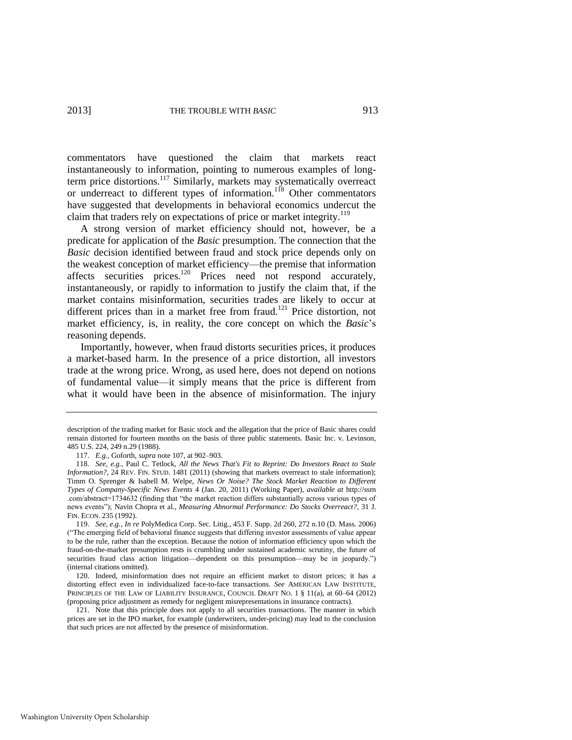commentators have questioned the claim that markets react instantaneously to information, pointing to numerous examples of longterm price distortions.<sup>117</sup> Similarly, markets may systematically overreact or underreact to different types of information.<sup>118</sup> Other commentators have suggested that developments in behavioral economics undercut the claim that traders rely on expectations of price or market integrity.<sup>119</sup>

A strong version of market efficiency should not, however, be a predicate for application of the *Basic* presumption. The connection that the *Basic* decision identified between fraud and stock price depends only on the weakest conception of market efficiency—the premise that information affects securities prices.<sup>120</sup> Prices need not respond accurately, instantaneously, or rapidly to information to justify the claim that, if the market contains misinformation, securities trades are likely to occur at different prices than in a market free from fraud.<sup>121</sup> Price distortion, not market efficiency, is, in reality, the core concept on which the *Basic*'s reasoning depends.

Importantly, however, when fraud distorts securities prices, it produces a market-based harm. In the presence of a price distortion, all investors trade at the wrong price. Wrong, as used here, does not depend on notions of fundamental value—it simply means that the price is different from what it would have been in the absence of misinformation. The injury

description of the trading market for Basic stock and the allegation that the price of Basic shares could remain distorted for fourteen months on the basis of three public statements. Basic Inc. v. Levinson, 485 U.S. 224, 249 n.29 (1988).

<sup>117.</sup> *E.g.*, Goforth, *supra* not[e 107,](#page-18-1) at 902–903.

<sup>118.</sup> *See, e.g.*, Paul C. Tetlock, *All the News That's Fit to Reprint: Do Investors React to Stale Information?*, 24 REV. FIN. STUD. 1481 (2011) (showing that markets overreact to stale information); Timm O. Sprenger & Isabell M. Welpe, *News Or Noise? The Stock Market Reaction to Different Types of Company-Specific News Events* 4 (Jan. 20, 2011) (Working Paper), *available at* http://ssrn .com/abstract=1734632 (finding that "the market reaction differs substantially across various types of news events"); Navin Chopra et al., *Measuring Abnormal Performance: Do Stocks Overreact?*, 31 J. FIN. ECON. 235 (1992).

<sup>119.</sup> *See, e.g.*, *In re* PolyMedica Corp. Sec. Litig., 453 F. Supp. 2d 260, 272 n.10 (D. Mass. 2006) ("The emerging field of behavioral finance suggests that differing investor assessments of value appear to be the rule, rather than the exception. Because the notion of information efficiency upon which the fraud-on-the-market presumption rests is crumbling under sustained academic scrutiny, the future of securities fraud class action litigation—dependent on this presumption—may be in jeopardy.") (internal citations omitted).

<sup>120.</sup> Indeed, misinformation does not require an efficient market to distort prices; it has a distorting effect even in individualized face-to-face transactions. *See* AMERICAN LAW INSTITUTE, PRINCIPLES OF THE LAW OF LIABILITY INSURANCE, COUNCIL DRAFT NO. 1 § 11(a), at 60–64 (2012) (proposing price adjustment as remedy for negligent misrepresentations in insurance contracts).

<sup>121.</sup> Note that this principle does not apply to all securities transactions. The manner in which prices are set in the IPO market, for example (underwriters, under-pricing) may lead to the conclusion that such prices are not affected by the presence of misinformation.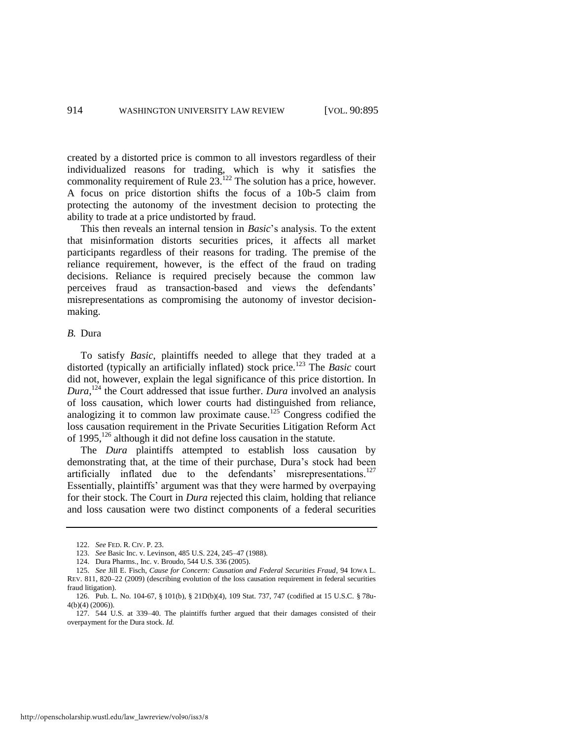created by a distorted price is common to all investors regardless of their individualized reasons for trading, which is why it satisfies the commonality requirement of Rule  $23.122$  The solution has a price, however. A focus on price distortion shifts the focus of a 10b-5 claim from protecting the autonomy of the investment decision to protecting the ability to trade at a price undistorted by fraud.

This then reveals an internal tension in *Basic*'s analysis. To the extent that misinformation distorts securities prices, it affects all market participants regardless of their reasons for trading. The premise of the reliance requirement, however, is the effect of the fraud on trading decisions. Reliance is required precisely because the common law perceives fraud as transaction-based and views the defendants' misrepresentations as compromising the autonomy of investor decisionmaking.

#### *B.* Dura

To satisfy *Basic*, plaintiffs needed to allege that they traded at a distorted (typically an artificially inflated) stock price.<sup>123</sup> The *Basic* court did not, however, explain the legal significance of this price distortion. In *Dura*, <sup>124</sup> the Court addressed that issue further. *Dura* involved an analysis of loss causation, which lower courts had distinguished from reliance, analogizing it to common law proximate cause.<sup>125</sup> Congress codified the loss causation requirement in the Private Securities Litigation Reform Act of  $1995$ ,  $126$  although it did not define loss causation in the statute.

<span id="page-20-0"></span>The *Dura* plaintiffs attempted to establish loss causation by demonstrating that, at the time of their purchase, Dura's stock had been artificially inflated due to the defendants' misrepresentations.<sup>127</sup> Essentially, plaintiffs' argument was that they were harmed by overpaying for their stock. The Court in *Dura* rejected this claim, holding that reliance and loss causation were two distinct components of a federal securities

<span id="page-20-1"></span><sup>122.</sup> *See* FED. R. CIV. P. 23.

<sup>123.</sup> *See* Basic Inc. v. Levinson, 485 U.S. 224, 245–47 (1988).

<sup>124.</sup> Dura Pharms., Inc. v. Broudo, 544 U.S. 336 (2005).

<sup>125.</sup> *See* Jill E. Fisch, *Cause for Concern: Causation and Federal Securities Fraud*, 94 IOWA L. REV. 811, 820–22 (2009) (describing evolution of the loss causation requirement in federal securities fraud litigation).

<sup>126.</sup> Pub. L. No. 104-67, § 101(b), § 21D(b)(4), 109 Stat. 737, 747 (codified at 15 U.S.C. § 78u-4(b)(4) (2006)).

<sup>127. 544</sup> U.S. at 339–40. The plaintiffs further argued that their damages consisted of their overpayment for the Dura stock. *Id.*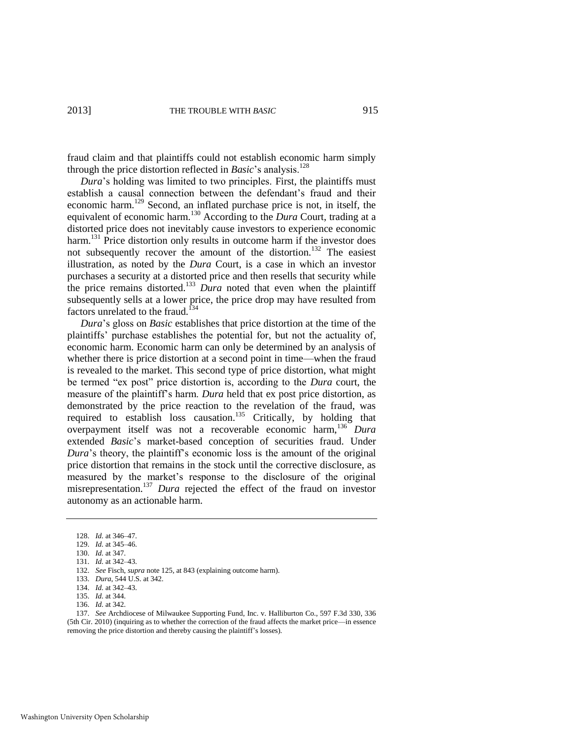fraud claim and that plaintiffs could not establish economic harm simply through the price distortion reflected in *Basic*'s analysis.<sup>128</sup>

<span id="page-21-0"></span>*Dura*'s holding was limited to two principles. First, the plaintiffs must establish a causal connection between the defendant's fraud and their economic harm.<sup>129</sup> Second, an inflated purchase price is not, in itself, the equivalent of economic harm.<sup>130</sup> According to the *Dura* Court, trading at a distorted price does not inevitably cause investors to experience economic harm.<sup>131</sup> Price distortion only results in outcome harm if the investor does not subsequently recover the amount of the distortion.<sup>132</sup> The easiest illustration, as noted by the *Dura* Court, is a case in which an investor purchases a security at a distorted price and then resells that security while the price remains distorted.<sup>133</sup> *Dura* noted that even when the plaintiff subsequently sells at a lower price, the price drop may have resulted from factors unrelated to the fraud.<sup>134</sup>

<span id="page-21-1"></span>*Dura*'s gloss on *Basic* establishes that price distortion at the time of the plaintiffs' purchase establishes the potential for, but not the actuality of, economic harm. Economic harm can only be determined by an analysis of whether there is price distortion at a second point in time—when the fraud is revealed to the market. This second type of price distortion, what might be termed "ex post" price distortion is, according to the *Dura* court, the measure of the plaintiff's harm. *Dura* held that ex post price distortion, as demonstrated by the price reaction to the revelation of the fraud, was required to establish loss causation.<sup>135</sup> Critically, by holding that overpayment itself was not a recoverable economic harm,<sup>136</sup> *Dura* extended *Basic*'s market-based conception of securities fraud. Under *Dura*'s theory, the plaintiff's economic loss is the amount of the original price distortion that remains in the stock until the corrective disclosure, as measured by the market's response to the disclosure of the original misrepresentation.<sup>137</sup> *Dura* rejected the effect of the fraud on investor autonomy as an actionable harm.

137. *See* Archdiocese of Milwaukee Supporting Fund, Inc. v. Halliburton Co., 597 F.3d 330, 336 (5th Cir. 2010) (inquiring as to whether the correction of the fraud affects the market price—in essence removing the price distortion and thereby causing the plaintiff's losses).

<sup>128.</sup> *Id.* at 346–47.

<sup>129.</sup> *Id.* at 345–46.

<sup>130.</sup> *Id.* at 347.

<sup>131.</sup> *Id.* at 342–43.

<sup>132.</sup> *See* Fisch, *supra* not[e 125,](#page-20-0) at 843 (explaining outcome harm).

<sup>133.</sup> *Dura*, 544 U.S. at 342.

<sup>134.</sup> *Id.* at 342–43.

<sup>135.</sup> *Id.* at 344.

<sup>136.</sup> *Id.* at 342.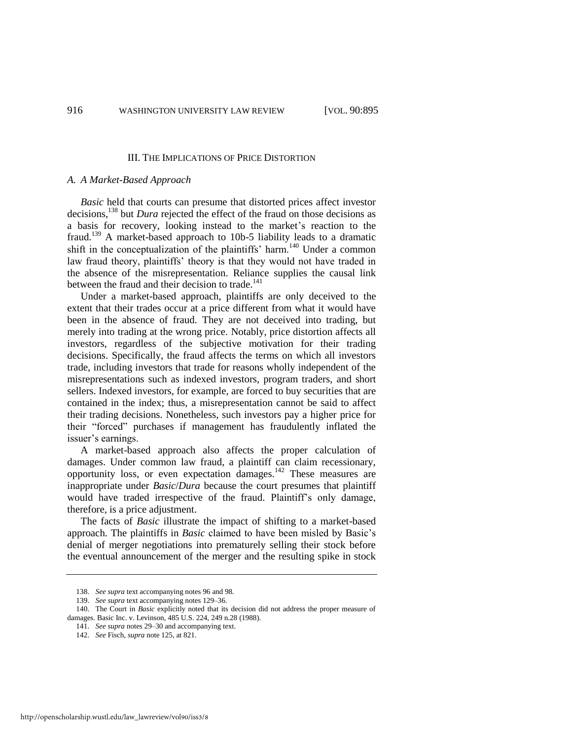#### III. THE IMPLICATIONS OF PRICE DISTORTION

#### *A. A Market-Based Approach*

*Basic* held that courts can presume that distorted prices affect investor decisions,<sup>138</sup> but *Dura* rejected the effect of the fraud on those decisions as a basis for recovery, looking instead to the market's reaction to the fraud.<sup>139</sup> A market-based approach to 10b-5 liability leads to a dramatic shift in the conceptualization of the plaintiffs' harm.<sup>140</sup> Under a common law fraud theory, plaintiffs' theory is that they would not have traded in the absence of the misrepresentation. Reliance supplies the causal link between the fraud and their decision to trade.<sup>141</sup>

Under a market-based approach, plaintiffs are only deceived to the extent that their trades occur at a price different from what it would have been in the absence of fraud. They are not deceived into trading, but merely into trading at the wrong price. Notably, price distortion affects all investors, regardless of the subjective motivation for their trading decisions. Specifically, the fraud affects the terms on which all investors trade, including investors that trade for reasons wholly independent of the misrepresentations such as indexed investors, program traders, and short sellers. Indexed investors, for example, are forced to buy securities that are contained in the index; thus, a misrepresentation cannot be said to affect their trading decisions. Nonetheless, such investors pay a higher price for their "forced" purchases if management has fraudulently inflated the issuer's earnings.

A market-based approach also affects the proper calculation of damages. Under common law fraud, a plaintiff can claim recessionary, opportunity loss, or even expectation damages.<sup>142</sup> These measures are inappropriate under *Basic*/*Dura* because the court presumes that plaintiff would have traded irrespective of the fraud. Plaintiff's only damage, therefore, is a price adjustment.

The facts of *Basic* illustrate the impact of shifting to a market-based approach. The plaintiffs in *Basic* claimed to have been misled by Basic's denial of merger negotiations into prematurely selling their stock before the eventual announcement of the merger and the resulting spike in stock

<sup>138.</sup> *See supra* text accompanying note[s 96](#page-15-1) an[d 98.](#page-16-0) 

<sup>139.</sup> *See supra* text accompanying note[s 129–](#page-21-0)36.

<sup>140.</sup> The Court in *Basic* explicitly noted that its decision did not address the proper measure of damages. Basic Inc. v. Levinson, 485 U.S. 224, 249 n.28 (1988).

<sup>141.</sup> *See supra* note[s 29](#page-6-2)[–30 a](#page-7-0)nd accompanying text.

<sup>142.</sup> *See* Fisch, *supra* not[e 125,](#page-20-0) at 821.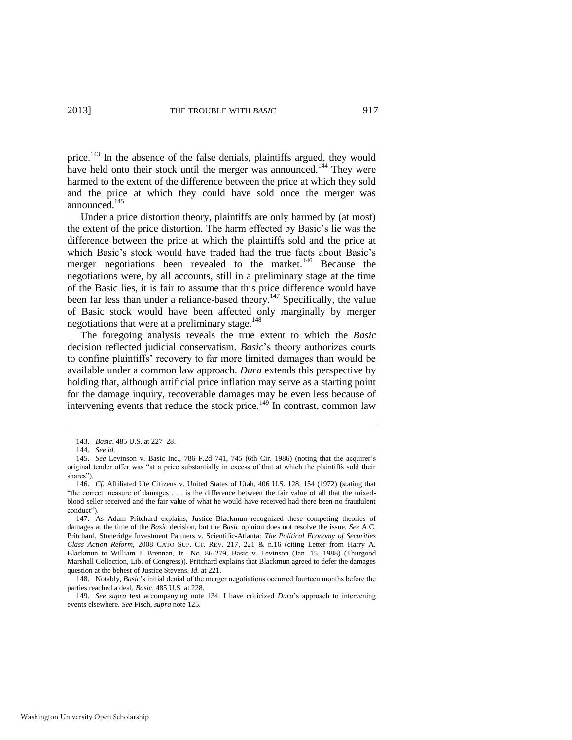price.<sup>143</sup> In the absence of the false denials, plaintiffs argued, they would have held onto their stock until the merger was announced.<sup>144</sup> They were harmed to the extent of the difference between the price at which they sold and the price at which they could have sold once the merger was announced.<sup>145</sup>

<span id="page-23-0"></span>Under a price distortion theory, plaintiffs are only harmed by (at most) the extent of the price distortion. The harm effected by Basic's lie was the difference between the price at which the plaintiffs sold and the price at which Basic's stock would have traded had the true facts about Basic's merger negotiations been revealed to the market.<sup>146</sup> Because the negotiations were, by all accounts, still in a preliminary stage at the time of the Basic lies, it is fair to assume that this price difference would have been far less than under a reliance-based theory.<sup>147</sup> Specifically, the value of Basic stock would have been affected only marginally by merger negotiations that were at a preliminary stage.<sup>148</sup>

The foregoing analysis reveals the true extent to which the *Basic* decision reflected judicial conservatism. *Basic*'s theory authorizes courts to confine plaintiffs' recovery to far more limited damages than would be available under a common law approach. *Dura* extends this perspective by holding that, although artificial price inflation may serve as a starting point for the damage inquiry, recoverable damages may be even less because of intervening events that reduce the stock price.<sup>149</sup> In contrast, common law

<sup>143.</sup> *Basic*, 485 U.S. at 227–28.

<sup>144.</sup> *See id.* 

<sup>145.</sup> *See* Levinson v. Basic Inc., 786 F.2d 741, 745 (6th Cir. 1986) (noting that the acquirer's original tender offer was "at a price substantially in excess of that at which the plaintiffs sold their shares").

<sup>146.</sup> *Cf.* Affiliated Ute Citizens v. United States of Utah, 406 U.S. 128, 154 (1972) (stating that "the correct measure of damages . . . is the difference between the fair value of all that the mixedblood seller received and the fair value of what he would have received had there been no fraudulent conduct").

<sup>147.</sup> As Adam Pritchard explains, Justice Blackmun recognized these competing theories of damages at the time of the *Basic* decision, but the *Basic* opinion does not resolve the issue. *See* A.C. Pritchard, Stoneridge Investment Partners v. Scientific-Atlanta*: The Political Economy of Securities Class Action Reform*, 2008 CATO SUP. CT. REV. 217, 221 & n.16 (citing Letter from Harry A. Blackmun to William J. Brennan, Jr., No. 86-279, Basic v. Levinson (Jan. 15, 1988) (Thurgood Marshall Collection, Lib. of Congress)). Pritchard explains that Blackmun agreed to defer the damages question at the behest of Justice Stevens. *Id.* at 221.

<sup>148.</sup> Notably, *Basic*'s initial denial of the merger negotiations occurred fourteen months before the parties reached a deal. *Basic*, 485 U.S. at 228.

<sup>149.</sup> *See supra* text accompanying note [134.](#page-21-1) I have criticized *Dura*'s approach to intervening events elsewhere. *See* Fisch, *supra* note [125.](#page-20-0)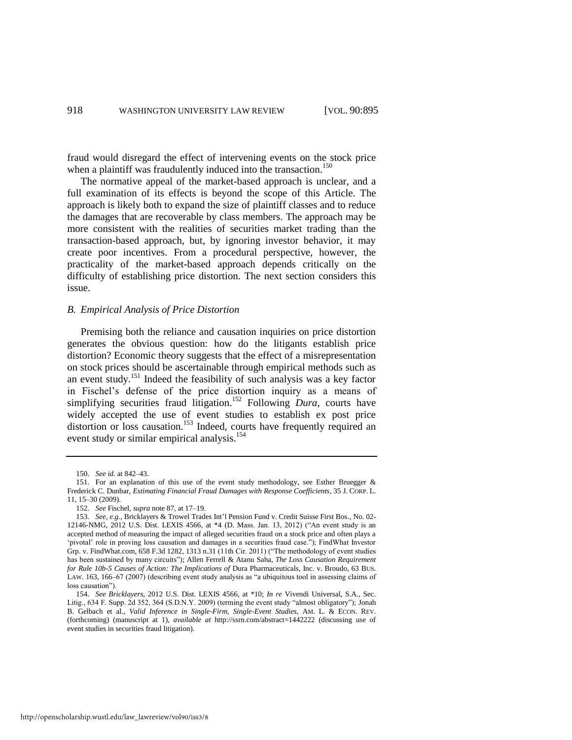fraud would disregard the effect of intervening events on the stock price when a plaintiff was fraudulently induced into the transaction.<sup>150</sup>

The normative appeal of the market-based approach is unclear, and a full examination of its effects is beyond the scope of this Article. The approach is likely both to expand the size of plaintiff classes and to reduce the damages that are recoverable by class members. The approach may be more consistent with the realities of securities market trading than the transaction-based approach, but, by ignoring investor behavior, it may create poor incentives. From a procedural perspective, however, the practicality of the market-based approach depends critically on the difficulty of establishing price distortion. The next section considers this issue.

#### *B. Empirical Analysis of Price Distortion*

Premising both the reliance and causation inquiries on price distortion generates the obvious question: how do the litigants establish price distortion? Economic theory suggests that the effect of a misrepresentation on stock prices should be ascertainable through empirical methods such as an event study.<sup>151</sup> Indeed the feasibility of such analysis was a key factor in Fischel's defense of the price distortion inquiry as a means of simplifying securities fraud litigation.<sup>152</sup> Following *Dura*, courts have widely accepted the use of event studies to establish ex post price distortion or loss causation.<sup>153</sup> Indeed, courts have frequently required an event study or similar empirical analysis.<sup>154</sup>

<span id="page-24-0"></span><sup>150.</sup> *See id.* at 842–43.

<sup>151.</sup> For an explanation of this use of the event study methodology, see Esther Bruegger & Frederick C. Dunbar, *Estimating Financial Fraud Damages with Response Coefficients*, 35 J. CORP. L. 11, 15–30 (2009).

<sup>152.</sup> *See* Fischel, *supra* not[e 87,](#page-15-2) at 17–19.

<sup>153.</sup> *See, e.g.*, Bricklayers & Trowel Trades Int'l Pension Fund v. Credit Suisse First Bos., No. 02- 12146-NMG, 2012 U.S. Dist. LEXIS 4566, at \*4 (D. Mass. Jan. 13, 2012) ("An event study is an accepted method of measuring the impact of alleged securities fraud on a stock price and often plays a 'pivotal' role in proving loss causation and damages in a securities fraud case."); FindWhat Investor Grp. v. FindWhat.com, 658 F.3d 1282, 1313 n.31 (11th Cir. 2011) ("The methodology of event studies has been sustained by many circuits"); Allen Ferrell & Atanu Saha, *The Loss Causation Requirement for Rule 10b-5 Causes of Action: The Implications of* Dura Pharmaceuticals, Inc. v. Broudo, 63 BUS. LAW. 163, 166–67 (2007) (describing event study analysis as "a ubiquitous tool in assessing claims of loss causation").

<sup>154.</sup> *See Bricklayers*, 2012 U.S. Dist. LEXIS 4566, at \*10; *In re* Vivendi Universal, S.A., Sec. Litig., 634 F. Supp. 2d 352, 364 (S.D.N.Y. 2009) (terming the event study "almost obligatory"); Jonah B. Gelbach et al., *Valid Inference in Single-Firm, Single-Event Studies*, AM. L. & ECON. REV. (forthcoming) (manuscript at 1), *available at* http://ssrn.com/abstract=1442222 (discussing use of event studies in securities fraud litigation).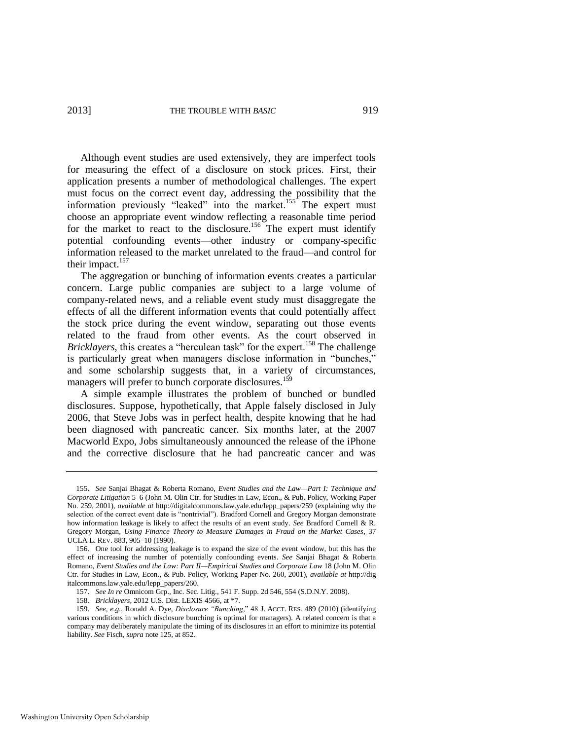<span id="page-25-0"></span>Although event studies are used extensively, they are imperfect tools for measuring the effect of a disclosure on stock prices. First, their application presents a number of methodological challenges. The expert must focus on the correct event day, addressing the possibility that the information previously "leaked" into the market.<sup>155</sup> The expert must choose an appropriate event window reflecting a reasonable time period for the market to react to the disclosure.<sup>156</sup> The expert must identify potential confounding events—other industry or company-specific information released to the market unrelated to the fraud—and control for their impact.<sup>157</sup>

The aggregation or bunching of information events creates a particular concern. Large public companies are subject to a large volume of company-related news, and a reliable event study must disaggregate the effects of all the different information events that could potentially affect the stock price during the event window, separating out those events related to the fraud from other events. As the court observed in *Bricklayers*, this creates a "herculean task" for the expert.<sup>158</sup> The challenge is particularly great when managers disclose information in "bunches," and some scholarship suggests that, in a variety of circumstances, managers will prefer to bunch corporate disclosures.<sup>159</sup>

A simple example illustrates the problem of bunched or bundled disclosures. Suppose, hypothetically, that Apple falsely disclosed in July 2006, that Steve Jobs was in perfect health, despite knowing that he had been diagnosed with pancreatic cancer. Six months later, at the 2007 Macworld Expo, Jobs simultaneously announced the release of the iPhone and the corrective disclosure that he had pancreatic cancer and was

<sup>155.</sup> *See* Sanjai Bhagat & Roberta Romano, *Event Studies and the Law—Part I: Technique and Corporate Litigation* 5–6 (John M. Olin Ctr. for Studies in Law, Econ., & Pub. Policy, Working Paper No. 259, 2001), *available at* http://digitalcommons.law.yale.edu/lepp\_papers/259 (explaining why the selection of the correct event date is "nontrivial"). Bradford Cornell and Gregory Morgan demonstrate how information leakage is likely to affect the results of an event study. *See* Bradford Cornell & R. Gregory Morgan, *Using Finance Theory to Measure Damages in Fraud on the Market Cases*, 37 UCLA L. REV. 883, 905–10 (1990).

<sup>156.</sup> One tool for addressing leakage is to expand the size of the event window, but this has the effect of increasing the number of potentially confounding events. *See* Sanjai Bhagat & Roberta Romano, *Event Studies and the Law: Part II—Empirical Studies and Corporate Law* 18 (John M. Olin Ctr. for Studies in Law, Econ., & Pub. Policy, Working Paper No. 260, 2001), *available at* http://dig italcommons.law.yale.edu/lepp\_papers/260.

<sup>157.</sup> *See In re* Omnicom Grp., Inc. Sec. Litig., 541 F. Supp. 2d 546, 554 (S.D.N.Y. 2008).

<sup>158.</sup> *Bricklayers*, 2012 U.S. Dist. LEXIS 4566, at \*7.

<sup>159.</sup> *See, e.g.*, Ronald A. Dye, *Disclosure "Bunching*," 48 J. ACCT. RES. 489 (2010) (identifying various conditions in which disclosure bunching is optimal for managers). A related concern is that a company may deliberately manipulate the timing of its disclosures in an effort to minimize its potential liability. *See* Fisch, *supra* not[e 125,](#page-20-0) at 852.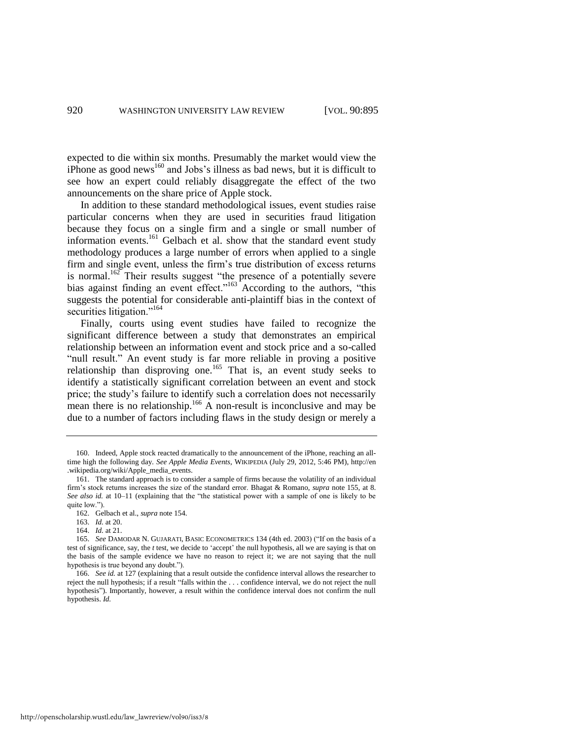expected to die within six months. Presumably the market would view the iPhone as good news<sup>160</sup> and Jobs's illness as bad news, but it is difficult to see how an expert could reliably disaggregate the effect of the two announcements on the share price of Apple stock.

In addition to these standard methodological issues, event studies raise particular concerns when they are used in securities fraud litigation because they focus on a single firm and a single or small number of information events.<sup>161</sup> Gelbach et al. show that the standard event study methodology produces a large number of errors when applied to a single firm and single event, unless the firm's true distribution of excess returns is normal.<sup>162</sup> Their results suggest "the presence of a potentially severe bias against finding an event effect."<sup>163</sup> According to the authors, "this suggests the potential for considerable anti-plaintiff bias in the context of securities litigation."<sup>164</sup>

Finally, courts using event studies have failed to recognize the significant difference between a study that demonstrates an empirical relationship between an information event and stock price and a so-called "null result." An event study is far more reliable in proving a positive relationship than disproving one.<sup>165</sup> That is, an event study seeks to identify a statistically significant correlation between an event and stock price; the study's failure to identify such a correlation does not necessarily mean there is no relationship.<sup>166</sup> A non-result is inconclusive and may be due to a number of factors including flaws in the study design or merely a

http://openscholarship.wustl.edu/law\_lawreview/vol90/iss3/8

<sup>160.</sup> Indeed, Apple stock reacted dramatically to the announcement of the iPhone, reaching an alltime high the following day. *See Apple Media Events*, WIKIPEDIA (July 29, 2012, 5:46 PM), http://en .wikipedia.org/wiki/Apple\_media\_events.

<sup>161.</sup> The standard approach is to consider a sample of firms because the volatility of an individual firm's stock returns increases the size of the standard error. Bhagat & Romano, *supra* not[e 155,](#page-25-0) at 8. *See also id.* at 10–11 (explaining that the "the statistical power with a sample of one is likely to be quite low.").

<sup>162.</sup> Gelbach et al., *supra* note [154.](#page-24-0) 

<sup>163.</sup> *Id.* at 20.

<sup>164.</sup> *Id.* at 21.

<sup>165.</sup> *See* DAMODAR N. GUJARATI, BASIC ECONOMETRICS 134 (4th ed. 2003) ("If on the basis of a test of significance, say, the *t* test, we decide to 'accept' the null hypothesis, all we are saying is that on the basis of the sample evidence we have no reason to reject it; we are not saying that the null hypothesis is true beyond any doubt.").

<sup>166.</sup> *See id.* at 127 (explaining that a result outside the confidence interval allows the researcher to reject the null hypothesis; if a result "falls within the . . . confidence interval, we do not reject the null hypothesis"). Importantly, however, a result within the confidence interval does not confirm the null hypothesis. *Id.*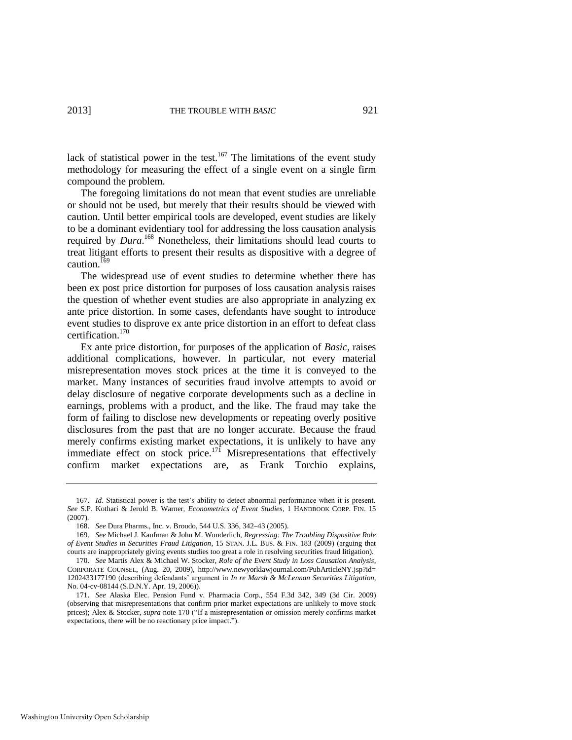lack of statistical power in the test. $167$  The limitations of the event study methodology for measuring the effect of a single event on a single firm compound the problem.

The foregoing limitations do not mean that event studies are unreliable or should not be used, but merely that their results should be viewed with caution. Until better empirical tools are developed, event studies are likely to be a dominant evidentiary tool for addressing the loss causation analysis required by *Dura*. <sup>168</sup> Nonetheless, their limitations should lead courts to treat litigant efforts to present their results as dispositive with a degree of caution.<sup>169</sup>

The widespread use of event studies to determine whether there has been ex post price distortion for purposes of loss causation analysis raises the question of whether event studies are also appropriate in analyzing ex ante price distortion. In some cases, defendants have sought to introduce event studies to disprove ex ante price distortion in an effort to defeat class certification.<sup>170</sup>

<span id="page-27-0"></span>Ex ante price distortion, for purposes of the application of *Basic*, raises additional complications, however. In particular, not every material misrepresentation moves stock prices at the time it is conveyed to the market. Many instances of securities fraud involve attempts to avoid or delay disclosure of negative corporate developments such as a decline in earnings, problems with a product, and the like. The fraud may take the form of failing to disclose new developments or repeating overly positive disclosures from the past that are no longer accurate. Because the fraud merely confirms existing market expectations, it is unlikely to have any immediate effect on stock price.<sup>171</sup> Misrepresentations that effectively confirm market expectations are, as Frank Torchio explains,

<sup>167.</sup> *Id.* Statistical power is the test's ability to detect abnormal performance when it is present. *See* S.P. Kothari & Jerold B. Warner, *Econometrics of Event Studies*, 1 HANDBOOK CORP. FIN. 15 (2007).

<sup>168.</sup> *See* Dura Pharms., Inc. v. Broudo, 544 U.S. 336, 342–43 (2005).

<sup>169.</sup> *See* Michael J. Kaufman & John M. Wunderlich, *Regressing: The Troubling Dispositive Role of Event Studies in Securities Fraud Litigation*, 15 STAN. J.L. BUS. & FIN. 183 (2009) (arguing that courts are inappropriately giving events studies too great a role in resolving securities fraud litigation).

<sup>170.</sup> *See* Martis Alex & Michael W. Stocker, *Role of the Event Study in Loss Causation Analysis*, CORPORATE COUNSEL, (Aug. 20, 2009), http://www.newyorklawjournal.com/PubArticleNY.jsp?id= 1202433177190 (describing defendants' argument in *In re Marsh & McLennan Securities Litigation*, No. 04-cv-08144 (S.D.N.Y. Apr. 19, 2006)).

<sup>171.</sup> *See* Alaska Elec. Pension Fund v. Pharmacia Corp., 554 F.3d 342, 349 (3d Cir. 2009) (observing that misrepresentations that confirm prior market expectations are unlikely to move stock prices); Alex & Stocker, *supra* not[e 170](#page-27-0) ("If a misrepresentation or omission merely confirms market expectations, there will be no reactionary price impact.").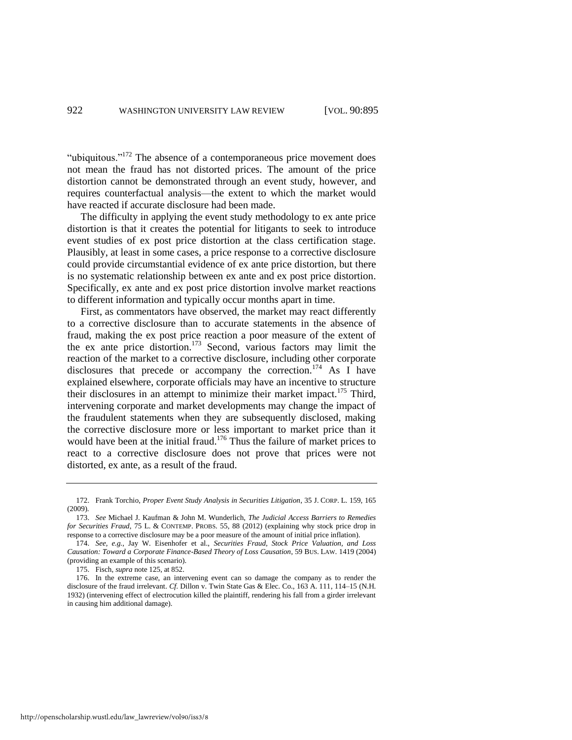"ubiquitous." $172$  The absence of a contemporaneous price movement does not mean the fraud has not distorted prices. The amount of the price distortion cannot be demonstrated through an event study, however, and requires counterfactual analysis—the extent to which the market would have reacted if accurate disclosure had been made.

The difficulty in applying the event study methodology to ex ante price distortion is that it creates the potential for litigants to seek to introduce event studies of ex post price distortion at the class certification stage. Plausibly, at least in some cases, a price response to a corrective disclosure could provide circumstantial evidence of ex ante price distortion, but there is no systematic relationship between ex ante and ex post price distortion. Specifically, ex ante and ex post price distortion involve market reactions to different information and typically occur months apart in time.

First, as commentators have observed, the market may react differently to a corrective disclosure than to accurate statements in the absence of fraud, making the ex post price reaction a poor measure of the extent of the ex ante price distortion.<sup>173</sup> Second, various factors may limit the reaction of the market to a corrective disclosure, including other corporate disclosures that precede or accompany the correction.<sup>174</sup> As I have explained elsewhere, corporate officials may have an incentive to structure their disclosures in an attempt to minimize their market impact.<sup>175</sup> Third, intervening corporate and market developments may change the impact of the fraudulent statements when they are subsequently disclosed, making the corrective disclosure more or less important to market price than it would have been at the initial fraud.<sup>176</sup> Thus the failure of market prices to react to a corrective disclosure does not prove that prices were not distorted, ex ante, as a result of the fraud.

<sup>172.</sup> Frank Torchio, *Proper Event Study Analysis in Securities Litigation*, 35 J. CORP. L. 159, 165 (2009).

<sup>173.</sup> *See* Michael J. Kaufman & John M. Wunderlich, *The Judicial Access Barriers to Remedies for Securities Fraud*, 75 L. & CONTEMP. PROBS. 55, 88 (2012) (explaining why stock price drop in response to a corrective disclosure may be a poor measure of the amount of initial price inflation).

<sup>174.</sup> *See, e.g.*, Jay W. Eisenhofer et al., *Securities Fraud, Stock Price Valuation, and Loss Causation: Toward a Corporate Finance-Based Theory of Loss Causation*, 59 BUS. LAW. 1419 (2004) (providing an example of this scenario).

<sup>175.</sup> Fisch, *supra* not[e 125,](#page-20-0) at 852.

<sup>176.</sup> In the extreme case, an intervening event can so damage the company as to render the disclosure of the fraud irrelevant. *Cf.* Dillon v. Twin State Gas & Elec. Co., 163 A. 111, 114–15 (N.H. 1932) (intervening effect of electrocution killed the plaintiff, rendering his fall from a girder irrelevant in causing him additional damage).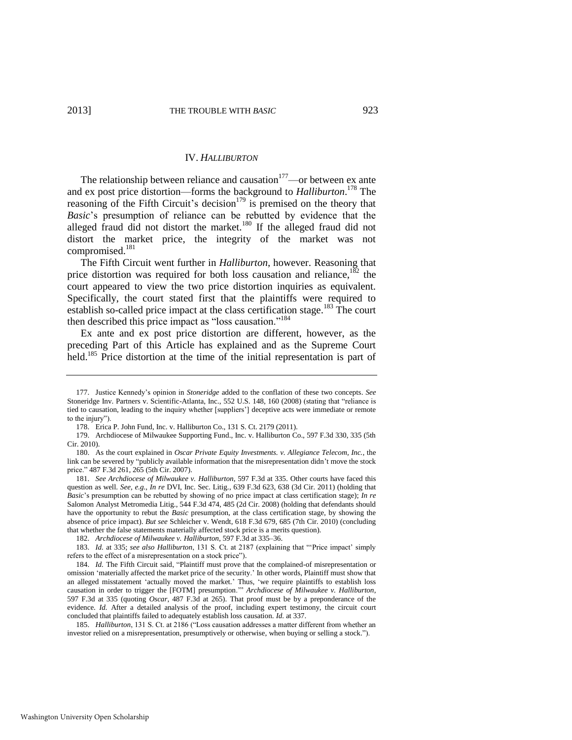#### IV. *HALLIBURTON*

The relationship between reliance and causation $177$ —or between ex ante and ex post price distortion—forms the background to *Halliburton*. <sup>178</sup> The reasoning of the Fifth Circuit's decision<sup>179</sup> is premised on the theory that *Basic*'s presumption of reliance can be rebutted by evidence that the alleged fraud did not distort the market.<sup>180</sup> If the alleged fraud did not distort the market price, the integrity of the market was not compromised.<sup>181</sup>

The Fifth Circuit went further in *Halliburton*, however. Reasoning that price distortion was required for both loss causation and reliance, $182$  the court appeared to view the two price distortion inquiries as equivalent. Specifically, the court stated first that the plaintiffs were required to establish so-called price impact at the class certification stage.<sup>183</sup> The court then described this price impact as "loss causation."<sup>184</sup>

Ex ante and ex post price distortion are different, however, as the preceding Part of this Article has explained and as the Supreme Court held.<sup>185</sup> Price distortion at the time of the initial representation is part of

<sup>177.</sup> Justice Kennedy's opinion in *Stoneridge* added to the conflation of these two concepts. *See* Stoneridge Inv. Partners v. Scientific-Atlanta, Inc., 552 U.S. 148, 160 (2008) (stating that "reliance is tied to causation, leading to the inquiry whether [suppliers'] deceptive acts were immediate or remote to the injury").

<sup>178.</sup> Erica P. John Fund, Inc. v. Halliburton Co., 131 S. Ct. 2179 (2011).

<sup>179.</sup> Archdiocese of Milwaukee Supporting Fund., Inc. v. Halliburton Co., 597 F.3d 330, 335 (5th Cir. 2010).

<sup>180.</sup> As the court explained in *Oscar Private Equity Investments. v. Allegiance Telecom, Inc.*, the link can be severed by "publicly available information that the misrepresentation didn't move the stock price." 487 F.3d 261, 265 (5th Cir. 2007).

<sup>181.</sup> *See Archdiocese of Milwaukee v. Halliburton*, 597 F.3d at 335. Other courts have faced this question as well. *See, e.g.*, *In re* DVI, Inc. Sec. Litig., 639 F.3d 623, 638 (3d Cir. 2011) (holding that *Basic*'s presumption can be rebutted by showing of no price impact at class certification stage); *In re*  Salomon Analyst Metromedia Litig., 544 F.3d 474, 485 (2d Cir. 2008) (holding that defendants should have the opportunity to rebut the *Basic* presumption, at the class certification stage, by showing the absence of price impact). *But see* Schleicher v. Wendt, 618 F.3d 679, 685 (7th Cir. 2010) (concluding that whether the false statements materially affected stock price is a merits question).

<sup>182.</sup> *Archdiocese of Milwaukee v. Halliburton*, 597 F.3d at 335–36.

<sup>183.</sup> *Id.* at 335; *see also Halliburton*, 131 S. Ct. at 2187 (explaining that "'Price impact' simply refers to the effect of a misrepresentation on a stock price").

<sup>184.</sup> *Id.* The Fifth Circuit said, "Plaintiff must prove that the complained-of misrepresentation or omission 'materially affected the market price of the security.' In other words, Plaintiff must show that an alleged misstatement 'actually moved the market.' Thus, 'we require plaintiffs to establish loss causation in order to trigger the [FOTM] presumption.'" *Archdiocese of Milwaukee v. Halliburton*, 597 F.3d at 335 (quoting *Oscar*, 487 F.3d at 265). That proof must be by a preponderance of the evidence. *Id.* After a detailed analysis of the proof, including expert testimony, the circuit court concluded that plaintiffs failed to adequately establish loss causation. *Id.* at 337.

<sup>185.</sup> *Halliburton*, 131 S. Ct. at 2186 ("Loss causation addresses a matter different from whether an investor relied on a misrepresentation, presumptively or otherwise, when buying or selling a stock.").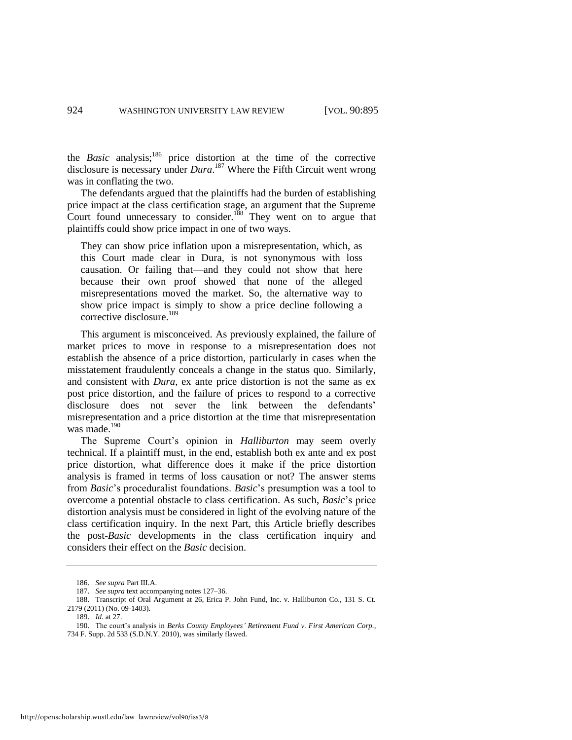the *Basic* analysis;<sup>186</sup> price distortion at the time of the corrective disclosure is necessary under *Dura*. <sup>187</sup> Where the Fifth Circuit went wrong was in conflating the two.

The defendants argued that the plaintiffs had the burden of establishing price impact at the class certification stage, an argument that the Supreme Court found unnecessary to consider.<sup>188</sup> They went on to argue that plaintiffs could show price impact in one of two ways.

They can show price inflation upon a misrepresentation, which, as this Court made clear in Dura, is not synonymous with loss causation. Or failing that—and they could not show that here because their own proof showed that none of the alleged misrepresentations moved the market. So, the alternative way to show price impact is simply to show a price decline following a corrective disclosure.<sup>189</sup>

This argument is misconceived. As previously explained, the failure of market prices to move in response to a misrepresentation does not establish the absence of a price distortion, particularly in cases when the misstatement fraudulently conceals a change in the status quo. Similarly, and consistent with *Dura*, ex ante price distortion is not the same as ex post price distortion, and the failure of prices to respond to a corrective disclosure does not sever the link between the defendants' misrepresentation and a price distortion at the time that misrepresentation was made.<sup>190</sup>

The Supreme Court's opinion in *Halliburton* may seem overly technical. If a plaintiff must, in the end, establish both ex ante and ex post price distortion, what difference does it make if the price distortion analysis is framed in terms of loss causation or not? The answer stems from *Basic*'s proceduralist foundations. *Basic*'s presumption was a tool to overcome a potential obstacle to class certification. As such, *Basic*'s price distortion analysis must be considered in light of the evolving nature of the class certification inquiry. In the next Part, this Article briefly describes the post-*Basic* developments in the class certification inquiry and considers their effect on the *Basic* decision.

<sup>186.</sup> *See supra* Part III.A.

<sup>187.</sup> *See supra* text accompanying note[s 127–](#page-20-1)36.

<sup>188.</sup> Transcript of Oral Argument at 26, Erica P. John Fund, Inc. v. Halliburton Co., 131 S. Ct. 2179 (2011) (No. 09-1403).

<sup>189.</sup> *Id.* at 27.

<sup>190.</sup> The court's analysis in *Berks County Employees' Retirement Fund v. First American Corp.*,

<sup>734</sup> F. Supp. 2d 533 (S.D.N.Y. 2010), was similarly flawed.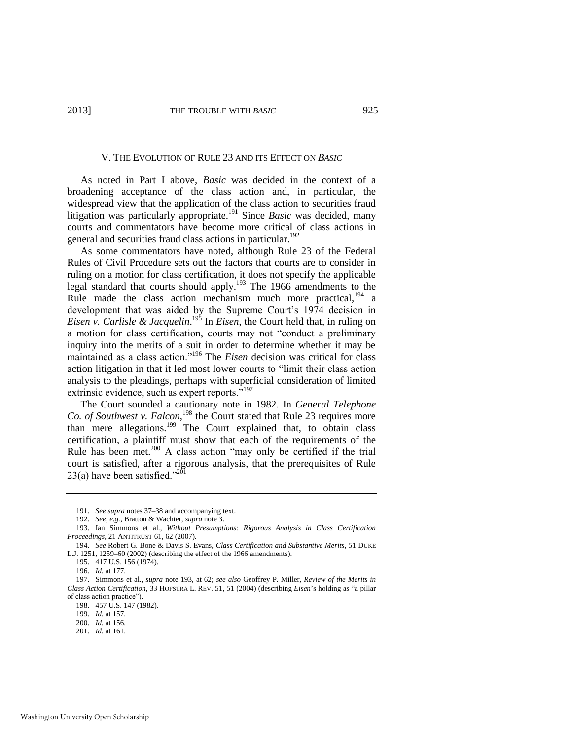#### V. THE EVOLUTION OF RULE 23 AND ITS EFFECT ON *BASIC*

As noted in Part I above, *Basic* was decided in the context of a broadening acceptance of the class action and, in particular, the widespread view that the application of the class action to securities fraud litigation was particularly appropriate.<sup>191</sup> Since *Basic* was decided, many courts and commentators have become more critical of class actions in general and securities fraud class actions in particular.<sup>192</sup>

<span id="page-31-0"></span>As some commentators have noted, although Rule 23 of the Federal Rules of Civil Procedure sets out the factors that courts are to consider in ruling on a motion for class certification, it does not specify the applicable legal standard that courts should apply.<sup>193</sup> The 1966 amendments to the Rule made the class action mechanism much more practical,<sup>194</sup> a development that was aided by the Supreme Court's 1974 decision in *Eisen v. Carlisle & Jacquelin*. <sup>195</sup> In *Eisen*, the Court held that, in ruling on a motion for class certification, courts may not "conduct a preliminary inquiry into the merits of a suit in order to determine whether it may be maintained as a class action."<sup>196</sup> The *Eisen* decision was critical for class action litigation in that it led most lower courts to "limit their class action analysis to the pleadings, perhaps with superficial consideration of limited extrinsic evidence, such as expert reports.<sup>5197</sup>

The Court sounded a cautionary note in 1982. In *General Telephone*  Co. of Southwest v. Falcon,<sup>198</sup> the Court stated that Rule 23 requires more than mere allegations.<sup>199</sup> The Court explained that, to obtain class certification, a plaintiff must show that each of the requirements of the Rule has been met.<sup>200</sup> A class action "may only be certified if the trial court is satisfied, after a rigorous analysis, that the prerequisites of Rule 23(a) have been satisfied." $^{201}$ 

<sup>191.</sup> *See supra* note[s 37](#page-8-0)[–38 a](#page-8-1)nd accompanying text.

<sup>192.</sup> *See, e.g.*, Bratton & Wachter, *supra* not[e 3.](#page-2-1)

<sup>193.</sup> Ian Simmons et al., *Without Presumptions: Rigorous Analysis in Class Certification Proceedings*, 21 ANTITRUST 61, 62 (2007).

<sup>194.</sup> *See* Robert G. Bone & Davis S. Evans, *Class Certification and Substantive Merits*, 51 DUKE L.J. 1251, 1259–60 (2002) (describing the effect of the 1966 amendments).

<sup>195. 417</sup> U.S. 156 (1974).

<sup>196.</sup> *Id.* at 177.

<sup>197.</sup> Simmons et al., *supra* note [193,](#page-31-0) at 62; *see also* Geoffrey P. Miller, *Review of the Merits in Class Action Certification*, 33 HOFSTRA L. REV. 51, 51 (2004) (describing *Eisen*'s holding as "a pillar of class action practice").

<sup>198. 457</sup> U.S. 147 (1982).

<sup>199.</sup> *Id.* at 157.

<sup>200.</sup> *Id.* at 156. 201. *Id.* at 161.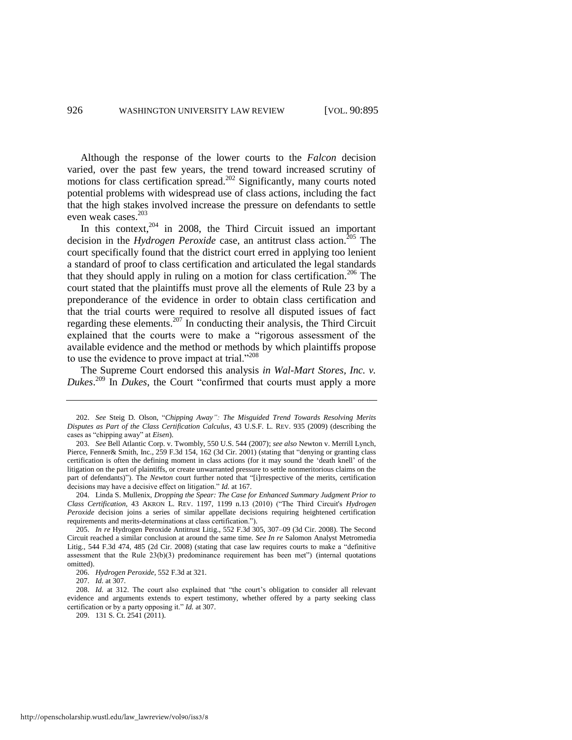Although the response of the lower courts to the *Falcon* decision varied, over the past few years, the trend toward increased scrutiny of motions for class certification spread.<sup>202</sup> Significantly, many courts noted potential problems with widespread use of class actions, including the fact that the high stakes involved increase the pressure on defendants to settle even weak cases.<sup>203</sup>

In this context, $204$  in 2008, the Third Circuit issued an important decision in the *Hydrogen Peroxide* case, an antitrust class action.<sup>205</sup> The court specifically found that the district court erred in applying too lenient a standard of proof to class certification and articulated the legal standards that they should apply in ruling on a motion for class certification.<sup>206</sup> The court stated that the plaintiffs must prove all the elements of Rule 23 by a preponderance of the evidence in order to obtain class certification and that the trial courts were required to resolve all disputed issues of fact regarding these elements.<sup>207</sup> In conducting their analysis, the Third Circuit explained that the courts were to make a "rigorous assessment of the available evidence and the method or methods by which plaintiffs propose to use the evidence to prove impact at trial."<sup>208</sup>

The Supreme Court endorsed this analysis *in Wal-Mart Stores, Inc. v. Dukes*. <sup>209</sup> In *Dukes*, the Court "confirmed that courts must apply a more

<sup>202.</sup> *See* Steig D. Olson, "*Chipping Away": The Misguided Trend Towards Resolving Merits Disputes as Part of the Class Certification Calculus*, 43 U.S.F. L. REV. 935 (2009) (describing the cases as "chipping away" at *Eisen*).

<sup>203.</sup> *See* Bell Atlantic Corp. v. Twombly, 550 U.S. 544 (2007); *see also* Newton v. Merrill Lynch, Pierce, Fenner& Smith, Inc., 259 F.3d 154, 162 (3d Cir. 2001) (stating that "denying or granting class certification is often the defining moment in class actions (for it may sound the 'death knell' of the litigation on the part of plaintiffs, or create unwarranted pressure to settle nonmeritorious claims on the part of defendants)"). The *Newton* court further noted that "[i]rrespective of the merits, certification decisions may have a decisive effect on litigation." *Id.* at 167.

<sup>204.</sup> Linda S. Mullenix, *Dropping the Spear: The Case for Enhanced Summary Judgment Prior to Class Certification*, 43 AKRON L. REV. 1197, 1199 n.13 (2010) ("The Third Circuit's *Hydrogen Peroxide* decision joins a series of similar appellate decisions requiring heightened certification requirements and merits-determinations at class certification.").

<sup>205.</sup> *In re* Hydrogen Peroxide Antitrust Litig., 552 F.3d 305, 307–09 (3d Cir. 2008). The Second Circuit reached a similar conclusion at around the same time. *See In re* Salomon Analyst Metromedia Litig., 544 F.3d 474, 485 (2d Cir. 2008) (stating that case law requires courts to make a "definitive assessment that the Rule 23(b)(3) predominance requirement has been met") (internal quotations omitted).

<sup>206.</sup> *Hydrogen Peroxide*, 552 F.3d at 321.

<sup>207.</sup> *Id.* at 307.

<sup>208.</sup> *Id.* at 312. The court also explained that "the court's obligation to consider all relevant evidence and arguments extends to expert testimony, whether offered by a party seeking class certification or by a party opposing it." *Id.* at 307.

<sup>209. 131</sup> S. Ct. 2541 (2011).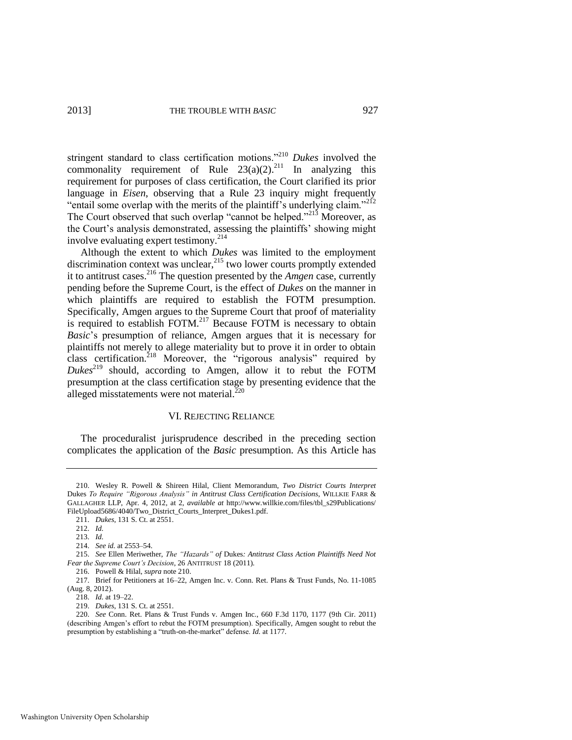<span id="page-33-0"></span>stringent standard to class certification motions."<sup>210</sup> *Dukes* involved the commonality requirement of Rule  $23(a)(2)$ <sup>211</sup> In analyzing this requirement for purposes of class certification, the Court clarified its prior language in *Eisen*, observing that a Rule 23 inquiry might frequently "entail some overlap with the merits of the plaintiff's underlying claim."<sup>212</sup> The Court observed that such overlap "cannot be helped."<sup>213</sup> Moreover, as the Court's analysis demonstrated, assessing the plaintiffs' showing might involve evaluating expert testimony.<sup>214</sup>

Although the extent to which *Dukes* was limited to the employment discrimination context was unclear,  $^{215}$  two lower courts promptly extended it to antitrust cases.<sup>216</sup> The question presented by the *Amgen* case, currently pending before the Supreme Court, is the effect of *Dukes* on the manner in which plaintiffs are required to establish the FOTM presumption. Specifically, Amgen argues to the Supreme Court that proof of materiality is required to establish FOTM.<sup>217</sup> Because FOTM is necessary to obtain *Basic*'s presumption of reliance, Amgen argues that it is necessary for plaintiffs not merely to allege materiality but to prove it in order to obtain class certification.<sup>218</sup> Moreover, the "rigorous analysis" required by *Dukes*<sup>219</sup> should, according to Amgen, allow it to rebut the FOTM presumption at the class certification stage by presenting evidence that the alleged misstatements were not material. $^{220}$ 

#### <span id="page-33-1"></span>VI. REJECTING RELIANCE

The proceduralist jurisprudence described in the preceding section complicates the application of the *Basic* presumption. As this Article has

<sup>210.</sup> Wesley R. Powell & Shireen Hilal, Client Memorandum, *Two District Courts Interpret*  Dukes *To Require "Rigorous Analysis" in Antitrust Class Certification Decisions*, WILLKIE FARR & GALLAGHER LLP, Apr. 4, 2012, at 2, *available at* http://www.willkie.com/files/tbl\_s29Publications/ FileUpload5686/4040/Two\_District\_Courts\_Interpret\_Dukes1.pdf.

<sup>211.</sup> *Dukes*, 131 S. Ct. at 2551.

<sup>212.</sup> *Id.*

<sup>213.</sup> *Id.*

<sup>214.</sup> *See id.* at 2553–54.

<sup>215.</sup> *See* Ellen Meriwether, *The "Hazards" of* Dukes*: Antitrust Class Action Plaintiffs Need Not Fear the Supreme Court's Decision*, 26 ANTITRUST 18 (2011).

<sup>216.</sup> Powell & Hilal, *supra* not[e 210.](#page-33-0) 

<sup>217.</sup> Brief for Petitioners at 16–22, Amgen Inc. v. Conn. Ret. Plans & Trust Funds, No. 11-1085 (Aug. 8, 2012).

<sup>218.</sup> *Id.* at 19–22.

<sup>219.</sup> *Dukes*, 131 S. Ct. at 2551.

<sup>220.</sup> *See* Conn. Ret. Plans & Trust Funds v. Amgen Inc., 660 F.3d 1170, 1177 (9th Cir. 2011) (describing Amgen's effort to rebut the FOTM presumption). Specifically, Amgen sought to rebut the presumption by establishing a "truth-on-the-market" defense. *Id.* at 1177.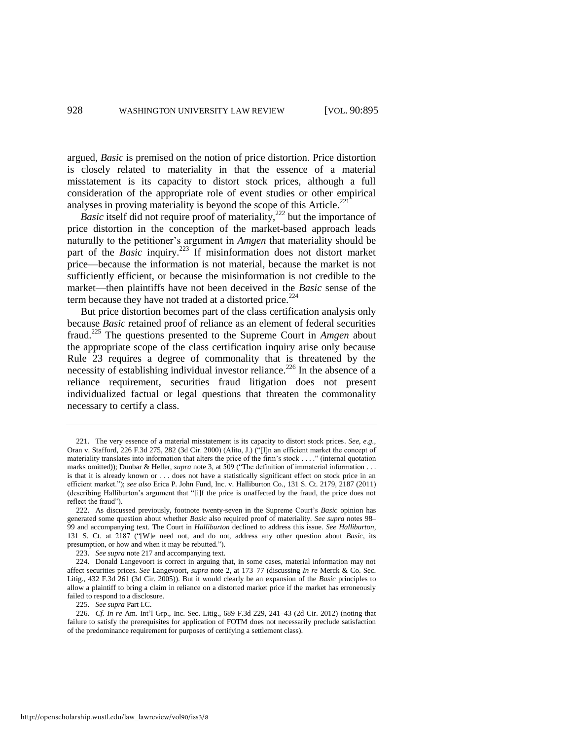argued, *Basic* is premised on the notion of price distortion. Price distortion is closely related to materiality in that the essence of a material misstatement is its capacity to distort stock prices, although a full consideration of the appropriate role of event studies or other empirical analyses in proving materiality is beyond the scope of this Article.<sup>221</sup>

*Basic* itself did not require proof of materiality,<sup>222</sup> but the importance of price distortion in the conception of the market-based approach leads naturally to the petitioner's argument in *Amgen* that materiality should be part of the *Basic* inquiry.<sup>223</sup> If misinformation does not distort market price—because the information is not material, because the market is not sufficiently efficient, or because the misinformation is not credible to the market—then plaintiffs have not been deceived in the *Basic* sense of the term because they have not traded at a distorted price. $2^{24}$ 

But price distortion becomes part of the class certification analysis only because *Basic* retained proof of reliance as an element of federal securities fraud.<sup>225</sup> The questions presented to the Supreme Court in *Amgen* about the appropriate scope of the class certification inquiry arise only because Rule 23 requires a degree of commonality that is threatened by the necessity of establishing individual investor reliance.<sup>226</sup> In the absence of a reliance requirement, securities fraud litigation does not present individualized factual or legal questions that threaten the commonality necessary to certify a class.

225. *See supra* Part I.C.

226. *Cf. In re* Am. Int'l Grp., Inc. Sec. Litig., 689 F.3d 229, 241–43 (2d Cir. 2012) (noting that failure to satisfy the prerequisites for application of FOTM does not necessarily preclude satisfaction of the predominance requirement for purposes of certifying a settlement class).

<sup>221.</sup> The very essence of a material misstatement is its capacity to distort stock prices. *See, e.g.*, Oran v. Stafford, 226 F.3d 275, 282 (3d Cir. 2000) (Alito, J.) ("[I]n an efficient market the concept of materiality translates into information that alters the price of the firm's stock . . . ." (internal quotation marks omitted)); Dunbar & Heller, *supra* not[e 3,](#page-2-1) at 509 ("The definition of immaterial information . . . is that it is already known or . . . does not have a statistically significant effect on stock price in an efficient market."); *see also* Erica P. John Fund, Inc. v. Halliburton Co., 131 S. Ct. 2179, 2187 (2011) (describing Halliburton's argument that "[i]f the price is unaffected by the fraud, the price does not reflect the fraud").

<sup>222.</sup> As discussed previously, footnote twenty-seven in the Supreme Court's *Basic* opinion has generated some question about whether *Basic* also required proof of materiality. *See supra* note[s 98–](#page-16-0) [99](#page-16-1) and accompanying text. The Court in *Halliburton* declined to address this issue. *See Halliburton*, 131 S. Ct. at 2187 ("[W]e need not, and do not, address any other question about *Basic*, its presumption, or how and when it may be rebutted.").

<sup>223.</sup> *See supra* not[e 217 a](#page-33-1)nd accompanying text.

<sup>224.</sup> Donald Langevoort is correct in arguing that, in some cases, material information may not affect securities prices. *See* Langevoort, *supra* note [2,](#page-2-0) at 173–77 (discussing *In re* Merck & Co. Sec. Litig., 432 F.3d 261 (3d Cir. 2005)). But it would clearly be an expansion of the *Basic* principles to allow a plaintiff to bring a claim in reliance on a distorted market price if the market has erroneously failed to respond to a disclosure.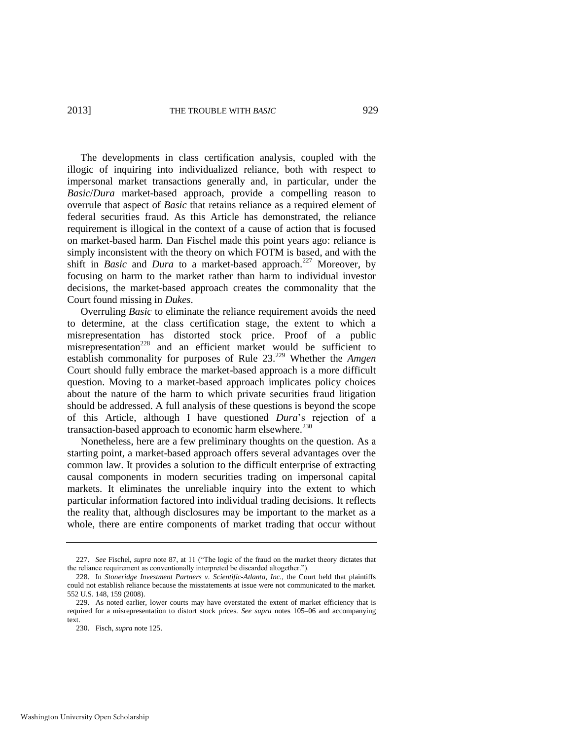The developments in class certification analysis, coupled with the illogic of inquiring into individualized reliance, both with respect to impersonal market transactions generally and, in particular, under the *Basic*/*Dura* market-based approach, provide a compelling reason to overrule that aspect of *Basic* that retains reliance as a required element of federal securities fraud. As this Article has demonstrated, the reliance requirement is illogical in the context of a cause of action that is focused on market-based harm. Dan Fischel made this point years ago: reliance is simply inconsistent with the theory on which FOTM is based, and with the shift in *Basic* and *Dura* to a market-based approach.<sup>227</sup> Moreover, by focusing on harm to the market rather than harm to individual investor decisions, the market-based approach creates the commonality that the Court found missing in *Dukes*.

Overruling *Basic* to eliminate the reliance requirement avoids the need to determine, at the class certification stage, the extent to which a misrepresentation has distorted stock price. Proof of a public misrepresentation<sup>228</sup> and an efficient market would be sufficient to establish commonality for purposes of Rule 23.<sup>229</sup> Whether the *Amgen* Court should fully embrace the market-based approach is a more difficult question. Moving to a market-based approach implicates policy choices about the nature of the harm to which private securities fraud litigation should be addressed. A full analysis of these questions is beyond the scope of this Article, although I have questioned *Dura*'s rejection of a transaction-based approach to economic harm elsewhere.<sup>230</sup>

Nonetheless, here are a few preliminary thoughts on the question. As a starting point, a market-based approach offers several advantages over the common law. It provides a solution to the difficult enterprise of extracting causal components in modern securities trading on impersonal capital markets. It eliminates the unreliable inquiry into the extent to which particular information factored into individual trading decisions. It reflects the reality that, although disclosures may be important to the market as a whole, there are entire components of market trading that occur without

<sup>227.</sup> *See* Fischel, *supra* not[e 87,](#page-15-2) at 11 ("The logic of the fraud on the market theory dictates that the reliance requirement as conventionally interpreted be discarded altogether.").

<sup>228.</sup> In *Stoneridge Investment Partners v. Scientific-Atlanta, Inc.*, the Court held that plaintiffs could not establish reliance because the misstatements at issue were not communicated to the market. 552 U.S. 148, 159 (2008).

<sup>229.</sup> As noted earlier, lower courts may have overstated the extent of market efficiency that is required for a misrepresentation to distort stock prices. *See supra* notes [105–](#page-17-0)06 and accompanying text.

<sup>230.</sup> Fisch, *supra* not[e 125.](#page-20-0)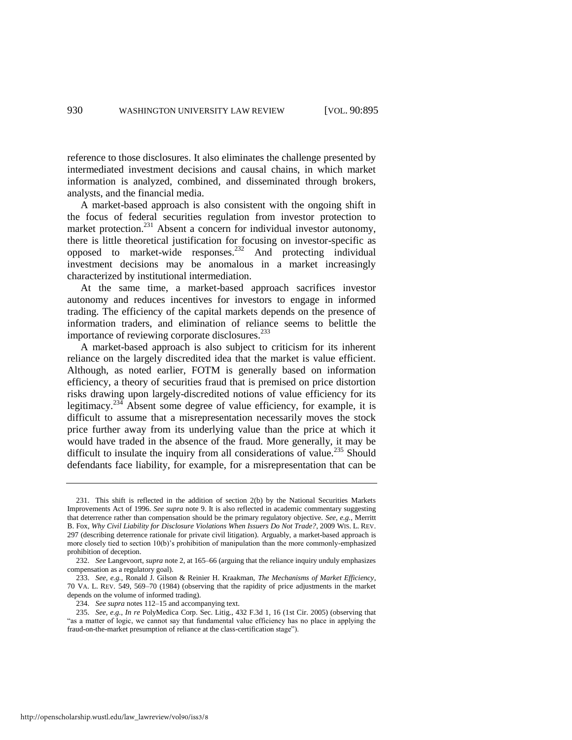reference to those disclosures. It also eliminates the challenge presented by intermediated investment decisions and causal chains, in which market information is analyzed, combined, and disseminated through brokers, analysts, and the financial media.

A market-based approach is also consistent with the ongoing shift in the focus of federal securities regulation from investor protection to market protection.<sup>231</sup> Absent a concern for individual investor autonomy, there is little theoretical justification for focusing on investor-specific as opposed to market-wide responses.<sup>232</sup> And protecting individual investment decisions may be anomalous in a market increasingly characterized by institutional intermediation.

At the same time, a market-based approach sacrifices investor autonomy and reduces incentives for investors to engage in informed trading. The efficiency of the capital markets depends on the presence of information traders, and elimination of reliance seems to belittle the importance of reviewing corporate disclosures.<sup>233</sup>

A market-based approach is also subject to criticism for its inherent reliance on the largely discredited idea that the market is value efficient. Although, as noted earlier, FOTM is generally based on information efficiency, a theory of securities fraud that is premised on price distortion risks drawing upon largely-discredited notions of value efficiency for its legitimacy.<sup>234</sup> Absent some degree of value efficiency, for example, it is difficult to assume that a misrepresentation necessarily moves the stock price further away from its underlying value than the price at which it would have traded in the absence of the fraud. More generally, it may be difficult to insulate the inquiry from all considerations of value.<sup>235</sup> Should defendants face liability, for example, for a misrepresentation that can be

234. *See supra* note[s 112–](#page-18-0)15 and accompanying text.

235. *See, e.g.*, *In re* PolyMedica Corp. Sec. Litig., 432 F.3d 1, 16 (1st Cir. 2005) (observing that "as a matter of logic, we cannot say that fundamental value efficiency has no place in applying the fraud-on-the-market presumption of reliance at the class-certification stage").

<sup>231.</sup> This shift is reflected in the addition of section 2(b) by the National Securities Markets Improvements Act of 1996. *See supra* note [9.](#page-3-0) It is also reflected in academic commentary suggesting that deterrence rather than compensation should be the primary regulatory objective. *See, e.g.*, Merritt B. Fox, *Why Civil Liability for Disclosure Violations When Issuers Do Not Trade?*, 2009 WIS. L. REV. 297 (describing deterrence rationale for private civil litigation). Arguably, a market-based approach is more closely tied to section 10(b)'s prohibition of manipulation than the more commonly-emphasized prohibition of deception.

<sup>232.</sup> *See* Langevoort, *supra* not[e 2,](#page-2-0) at 165–66 (arguing that the reliance inquiry unduly emphasizes compensation as a regulatory goal).

<sup>233.</sup> *See, e.g.*, Ronald J. Gilson & Reinier H. Kraakman, *The Mechanisms of Market Efficiency*, 70 VA. L. REV. 549, 569–70 (1984) (observing that the rapidity of price adjustments in the market depends on the volume of informed trading).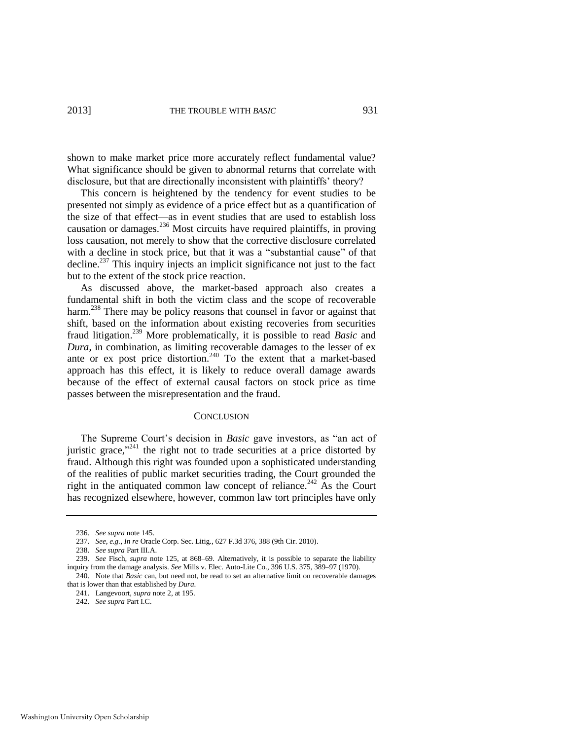shown to make market price more accurately reflect fundamental value? What significance should be given to abnormal returns that correlate with disclosure, but that are directionally inconsistent with plaintiffs' theory?

This concern is heightened by the tendency for event studies to be presented not simply as evidence of a price effect but as a quantification of the size of that effect—as in event studies that are used to establish loss causation or damages. $^{236}$  Most circuits have required plaintiffs, in proving loss causation, not merely to show that the corrective disclosure correlated with a decline in stock price, but that it was a "substantial cause" of that decline.<sup>237</sup> This inquiry injects an implicit significance not just to the fact but to the extent of the stock price reaction.

As discussed above, the market-based approach also creates a fundamental shift in both the victim class and the scope of recoverable harm.<sup>238</sup> There may be policy reasons that counsel in favor or against that shift, based on the information about existing recoveries from securities fraud litigation.<sup>239</sup> More problematically, it is possible to read *Basic* and *Dura*, in combination, as limiting recoverable damages to the lesser of ex ante or ex post price distortion.<sup>240</sup> To the extent that a market-based approach has this effect, it is likely to reduce overall damage awards because of the effect of external causal factors on stock price as time passes between the misrepresentation and the fraud.

#### **CONCLUSION**

The Supreme Court's decision in *Basic* gave investors, as "an act of juristic grace," $241$  the right not to trade securities at a price distorted by fraud. Although this right was founded upon a sophisticated understanding of the realities of public market securities trading, the Court grounded the right in the antiquated common law concept of reliance.<sup>242</sup> As the Court has recognized elsewhere, however, common law tort principles have only

<sup>236.</sup> *See supra* not[e 145.](#page-23-0) 

<sup>237.</sup> *See, e.g.*, *In re* Oracle Corp. Sec. Litig., 627 F.3d 376, 388 (9th Cir. 2010).

<sup>238.</sup> *See supra* Part III.A.

<sup>239.</sup> *See* Fisch, *supra* note [125,](#page-20-0) at 868–69. Alternatively, it is possible to separate the liability inquiry from the damage analysis. *See* Mills v. Elec. Auto-Lite Co., 396 U.S. 375, 389–97 (1970). 240. Note that *Basic* can, but need not, be read to set an alternative limit on recoverable damages

that is lower than that established by *Dura*.

<sup>241.</sup> Langevoort, *supra* not[e 2,](#page-2-0) at 195.

<sup>242.</sup> *See supra* Part I.C.